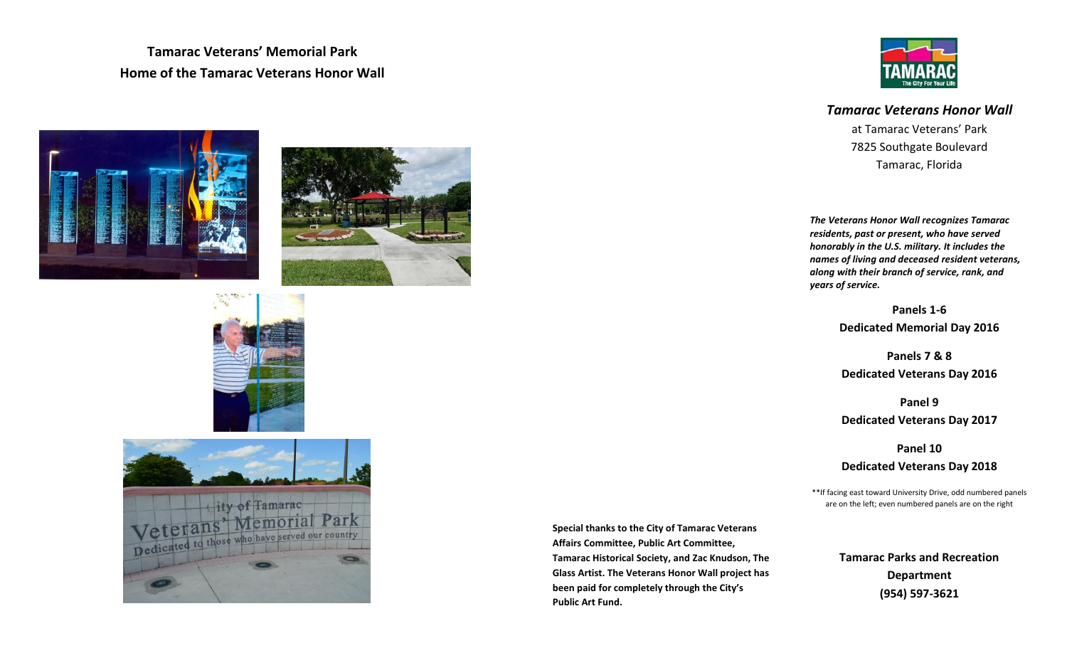**Tamarac Veterans' Memorial Park Home of the Tamarac Veterans Honor Wall**









# *Tamarac Veterans Honor Wall*

at Tamarac Veterans' Park 7825 Southgate Boulevard Tamarac, Florida

*The Veterans Honor Wall recognizes Tamarac residents, past or present, who have served honorably in the U.S. military. It includes the names of living and deceased resident veterans, along with their branch of service, rank, and years of service.* 

> **Panels 1-6 Dedicated Memorial Day 2016**

> **Panels 7 & 8 Dedicated Veterans Day 2016**

**Panel 9 Dedicated Veterans Day 2017**

**Panel 10**

## **Dedicated Veterans Day 2018**

\*\*If facing east toward University Drive, odd numbered panels are on the left; even numbered panels are on the right

**Tamarac Parks and Recreation Department (954) 597-3621**

**Special thanks to the City of Tamarac Veterans Affairs Committee, Public Art Committee, Tamarac Historical Society, and Zac Knudson, The Glass Artist. The Veterans Honor Wall project has been paid for completely through the City's Public Art Fund.**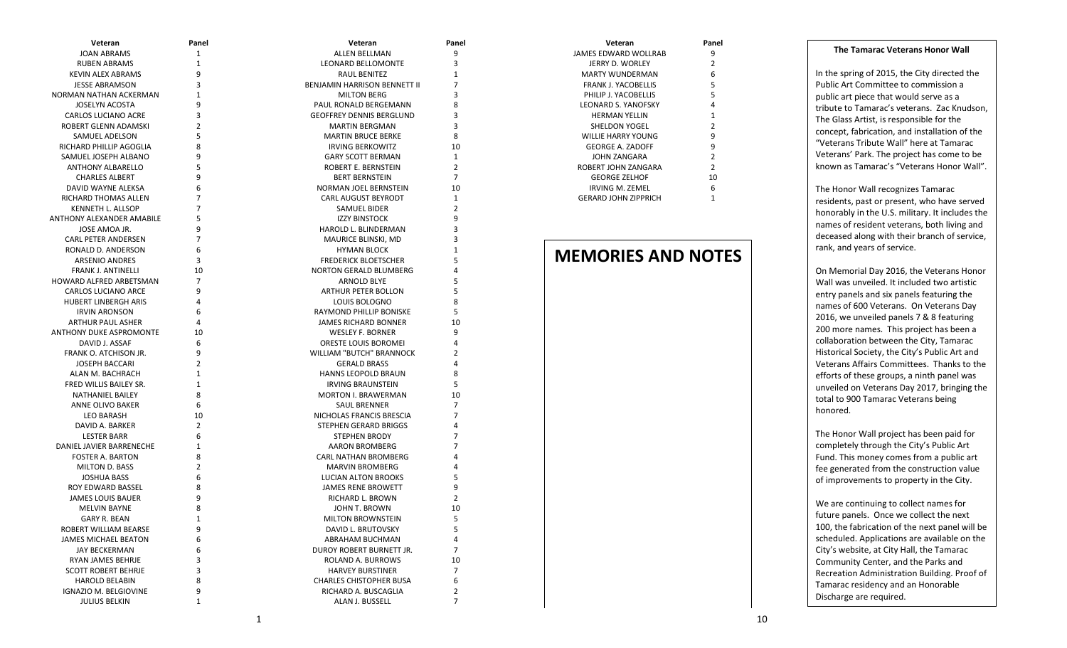### **The Tamarac Veterans Honor Wall**

In the spring of 2015, the City directed the Public Art Committee to commission a public art piece that would serve as a tribute to Tamarac's veterans. Zac Knudson, The Glass Artist, is responsible for the concept, fabrication, and installation of the "Veterans Tribute Wall" here at Tamarac Veterans' Park. The project has come to be known as Tamarac's "Veterans Honor Wall".

The Honor Wall recognizes Tamarac residents, past or present, who have served honorably in the U.S. military. It includes the names of resident veterans, both living and deceased along with their branch of service, rank, and years of service.

On Memorial Day 2016, the Veterans Honor Wall was unveiled. It included two artistic entry panels and six panels featuring the names of 600 Veterans. On Veterans Day 2016, we unveiled panels 7 & 8 featuring 200 more names. This project has been a collaboration between the City, Tamarac Historical Society, the City's Public Art and Veterans Affairs Committees. Thanks to the efforts of these groups, a ninth panel was unveiled on Veterans Day 2017, bringing the total to 900 Tamarac Veterans being honored.

The Honor Wall project has been paid for completely through the City's Public Art Fund. This money comes from a public art fee generated from the construction value of improvements to property in the City.

We are continuing to collect names for future panels. Once we collect the next 100, the fabrication of the next panel will be scheduled. Applications are available on the City's website, at City Hall, the Tamarac Community Center, and the Parks and Recreation Administration Building. Proof of Tamarac residency and an Honorable Discharge are required.

| Veteran                     | Panel          |
|-----------------------------|----------------|
| JAMES EDWARD WOLLRAB        | 9              |
| JERRY D. WORLEY             | 2              |
| MARTY WUNDERMAN             | 6              |
| <b>FRANK J. YACOBELLIS</b>  | 5              |
| PHILIP J. YACOBELLIS        | 5              |
| LEONARD S. YANOFSKY         | 4              |
| <b>HERMAN YELLIN</b>        | 1              |
| SHELDON YOGEL               | $\mathfrak z$  |
| WILLIE HARRY YOUNG          | 9              |
| <b>GEORGE A. ZADOFF</b>     | 9              |
| JOHN ZANGARA                | $\mathfrak{p}$ |
| ROBERT IOHN 7ANGARA         | 2              |
| <b>GEORGE ZELHOF</b>        | 10             |
| IRVING M. ZEMEL             | 6              |
| <b>GERARD JOHN ZIPPRICH</b> | 1              |

# **MEMORIES AND NOTES**

# GERARD JOHN ZIPPRICH

**Panel** 

 $\begin{array}{c} 7 \\ 10 \end{array}$ 

| <b>JOAN ABRAMS</b><br><b>RUBEN ABRAMS</b><br>KEVIN ALEX ABRAMS | 1<br>$\mathbf{1}$ | ALLEN BELLMAN                   | 9              |
|----------------------------------------------------------------|-------------------|---------------------------------|----------------|
|                                                                |                   |                                 |                |
|                                                                |                   | LEONARD BELLOMONTE              | 3              |
|                                                                | 9                 | RAUL BENITEZ                    | $\mathbf{1}$   |
| <b>JESSE ABRAMSON</b>                                          | 3                 | BENJAMIN HARRISON BENNETT II    | $\overline{7}$ |
| NORMAN NATHAN ACKERMAN                                         | $\mathbf{1}$      | <b>MILTON BERG</b>              | 3              |
| <b>JOSELYN ACOSTA</b>                                          | 9                 | PAUL RONALD BERGEMANN           | 8              |
| <b>CARLOS LUCIANO ACRE</b>                                     | 3                 | <b>GEOFFREY DENNIS BERGLUND</b> | 3              |
| ROBERT GLENN ADAMSKI                                           | $\overline{2}$    | <b>MARTIN BERGMAN</b>           | 3              |
| SAMUEL ADELSON                                                 | 5                 | <b>MARTIN BRUCE BERKE</b>       | 8              |
| RICHARD PHILLIP AGOGLIA                                        | 8                 | <b>IRVING BERKOWITZ</b>         | 10             |
| SAMUEL JOSEPH ALBANO                                           | 9                 | <b>GARY SCOTT BERMAN</b>        | $\mathbf{1}$   |
| ANTHONY ALBARELLO                                              | 5                 | ROBERT E. BERNSTEIN             | $\overline{2}$ |
| <b>CHARLES ALBERT</b>                                          | 9                 | <b>BERT BERNSTEIN</b>           | $\overline{7}$ |
| DAVID WAYNE ALEKSA                                             | 6                 | NORMAN JOEL BERNSTEIN           | 10             |
| RICHARD THOMAS ALLEN                                           | $\overline{7}$    | CARL AUGUST BEYRODT             | $\mathbf{1}$   |
| KENNETH L. ALLSOP                                              | 7                 | SAMUEL BIDER                    | 2              |
| ANTHONY ALEXANDER AMABILE                                      | 5                 | <b>IZZY BINSTOCK</b>            | 9              |
| JOSE AMOA JR.                                                  | 9                 | HAROLD L. BLINDERMAN            | 3              |
| <b>CARL PETER ANDERSEN</b>                                     | 7                 | MAURICE BLINSKI, MD             | 3              |
| RONALD D. ANDERSON                                             | 6                 | <b>HYMAN BLOCK</b>              | $\mathbf{1}$   |
| <b>ARSENIO ANDRES</b>                                          | 3                 | <b>FREDERICK BLOETSCHER</b>     | 5              |
| <b>FRANK J. ANTINELLI</b>                                      | 10                | <b>NORTON GERALD BLUMBERG</b>   | 4              |
| HOWARD ALFRED ARBETSMAN                                        | $\overline{7}$    | ARNOLD BLYE                     | 5              |
| <b>CARLOS LUCIANO ARCE</b>                                     | 9                 | <b>ARTHUR PETER BOLLON</b>      | 5              |
| HUBERT LINBERGH ARIS                                           | 4                 | LOUIS BOLOGNO                   | 8              |
| <b>IRVIN ARONSON</b>                                           | 6                 | RAYMOND PHILLIP BONISKE         | 5              |
| ARTHUR PAUL ASHER                                              | 4                 | <b>JAMES RICHARD BONNER</b>     | 10             |
| ANTHONY DUKE ASPROMONTE                                        |                   | <b>WESLEY F. BORNER</b>         | 9              |
| DAVID J. ASSAF                                                 | 10<br>6           |                                 | 4              |
|                                                                | 9                 | ORESTE LOUIS BOROMEI            | $\overline{2}$ |
| FRANK O. ATCHISON JR.                                          |                   | WILLIAM "BUTCH" BRANNOCK        |                |
| <b>JOSEPH BACCARI</b>                                          | $\overline{2}$    | <b>GERALD BRASS</b>             | 4              |
| ALAN M. BACHRACH                                               | $\mathbf{1}$      | HANNS LEOPOLD BRAUN             | 8              |
| FRED WILLIS BAILEY SR.                                         | $\mathbf{1}$      | <b>IRVING BRAUNSTEIN</b>        | 5              |
| NATHANIEL BAILEY                                               | 8                 | <b>MORTON I. BRAWERMAN</b>      | 10             |
| ANNE OLIVO BAKER                                               | 6                 | SAUL BRENNER                    | $\overline{7}$ |
| <b>LEO BARASH</b>                                              | 10                | NICHOLAS FRANCIS BRESCIA        | $\overline{7}$ |
| DAVID A. BARKER                                                | $\overline{2}$    | STEPHEN GERARD BRIGGS           | 4              |
| <b>LESTER BARR</b>                                             | 6                 | <b>STEPHEN BRODY</b>            | $\overline{7}$ |
| DANIEL JAVIER BARRENECHE                                       | $\mathbf{1}$      | AARON BROMBERG                  | $\overline{7}$ |
| <b>FOSTER A. BARTON</b>                                        | 8                 | <b>CARL NATHAN BROMBERG</b>     | 4              |
| <b>MILTON D. BASS</b>                                          | $\overline{2}$    | <b>MARVIN BROMBERG</b>          | 4              |
| <b>JOSHUA BASS</b>                                             | 6                 | LUCIAN ALTON BROOKS             | 5              |
| ROY EDWARD BASSEL                                              | 8                 | <b>JAMES RENE BROWETT</b>       | 9              |
| <b>JAMES LOUIS BAUER</b>                                       | 9                 | RICHARD L. BROWN                | $\overline{2}$ |
| <b>MELVIN BAYNE</b>                                            | 8                 | JOHN T. BROWN                   | 10             |
| <b>GARY R. BEAN</b>                                            | 1                 | MILTON BROWNSTEIN               | 5              |
| ROBERT WILLIAM BEARSE                                          | 9                 | DAVID L. BRUTOVSKY              | 5              |
| JAMES MICHAEL BEATON                                           | 6                 | ABRAHAM BUCHMAN                 | 4              |
| JAY BECKERMAN                                                  | 6                 | DUROY ROBERT BURNETT JR.        | $\overline{7}$ |
| RYAN JAMES BEHRJE                                              | 3                 | ROLAND A. BURROWS               | 10             |
| <b>SCOTT ROBERT BEHRJE</b>                                     | 3                 | <b>HARVEY BURSTINER</b>         | $\overline{7}$ |
| <b>HAROLD BELABIN</b>                                          | 8                 | <b>CHARLES CHISTOPHER BUSA</b>  | 6              |
| <b>IGNAZIO M. BELGIOVINE</b>                                   | 9                 | RICHARD A. BUSCAGLIA            | $\overline{2}$ |
| <b>JULIUS BELKIN</b>                                           | $\mathbf{1}$      | ALAN J. BUSSELL                 | $\overline{7}$ |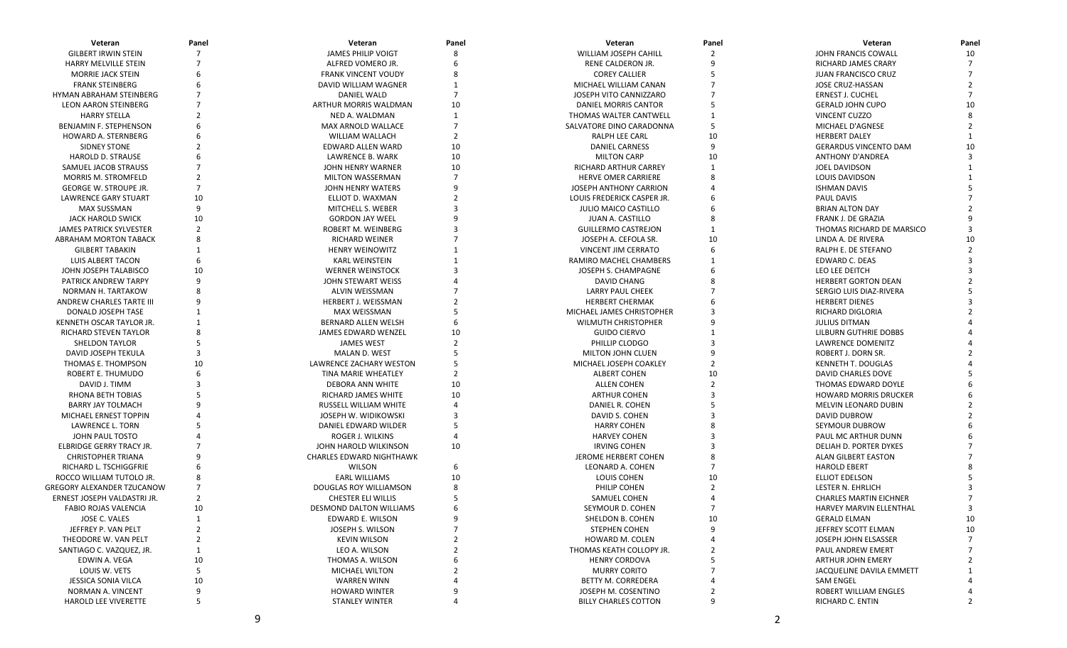| Veteran                           | Panel          | Veteran                         | Panel          | Veteran                      | Panel          | Veteran                       | Panel          |
|-----------------------------------|----------------|---------------------------------|----------------|------------------------------|----------------|-------------------------------|----------------|
| <b>GILBERT IRWIN STEIN</b>        | 7              | <b>JAMES PHILIP VOIGT</b>       | 8              | <b>WILLIAM JOSEPH CAHILL</b> | $\overline{2}$ | JOHN FRANCIS COWALL           | 10             |
| HARRY MELVILLE STEIN              |                | ALFRED VOMERO JR.               |                | RENE CALDERON JR.            | 9              | <b>RICHARD JAMES CRARY</b>    | $\overline{7}$ |
| <b>MORRIE JACK STEIN</b>          | 6              | <b>FRANK VINCENT VOUDY</b>      |                | <b>COREY CALLIER</b>         | 5              | <b>JUAN FRANCISCO CRUZ</b>    |                |
| <b>FRANK STEINBERG</b>            |                | DAVID WILLIAM WAGNER            |                | MICHAEL WILLIAM CANAN        |                | JOSE CRUZ-HASSAN              |                |
| HYMAN ABRAHAM STEINBERG           |                | DANIEL WALD                     | $\overline{7}$ | JOSEPH VITO CANNIZZARO       |                | ERNEST J. CUCHEL              |                |
| <b>LEON AARON STEINBERG</b>       |                | ARTHUR MORRIS WALDMAN           | 10             | DANIEL MORRIS CANTOR         |                | <b>GERALD JOHN CUPO</b>       | 10             |
| <b>HARRY STELLA</b>               |                | NED A. WALDMAN                  | $\mathbf{1}$   | THOMAS WALTER CANTWELL       |                | VINCENT CUZZO                 |                |
| BENJAMIN F. STEPHENSON            |                | MAX ARNOLD WALLACE              | $\overline{7}$ | SALVATORE DINO CARADONNA     | 5              | MICHAEL D'AGNESE              |                |
| HOWARD A. STERNBERG               |                | WILLIAM WALLACH                 | $\overline{2}$ | RALPH LEE CARL               | 10             | <b>HERBERT DALEY</b>          |                |
| SIDNEY STONE                      |                | EDWARD ALLEN WARD               | 10             | <b>DANIEL CARNESS</b>        | 9              | <b>GERARDUS VINCENTO DAM</b>  | 10             |
| <b>HAROLD D. STRAUSE</b>          |                | LAWRENCE B. WARK                | 10             | <b>MILTON CARP</b>           | 10             | <b>ANTHONY D'ANDREA</b>       |                |
| SAMUEL JACOB STRAUSS              |                | JOHN HENRY WARNER               | 10             | RICHARD ARTHUR CARREY        |                | <b>JOEL DAVIDSON</b>          |                |
| <b>MORRIS M. STROMFELD</b>        |                | MILTON WASSERMAN                | $\overline{7}$ | <b>HERVE OMER CARRIERE</b>   |                | LOUIS DAVIDSON                |                |
| <b>GEORGE W. STROUPE JR.</b>      | $\overline{7}$ | JOHN HENRY WATERS               |                | JOSEPH ANTHONY CARRION       |                | <b>ISHMAN DAVIS</b>           |                |
| <b>LAWRENCE GARY STUART</b>       | 10             | ELLIOT D. WAXMAN                |                | LOUIS FREDERICK CASPER JR.   |                | <b>PAUL DAVIS</b>             |                |
| <b>MAX SUSSMAN</b>                | 9              | MITCHELL S. WEBER               |                | <b>JULIO MAICO CASTILLO</b>  |                | <b>BRIAN ALTON DAY</b>        |                |
| <b>JACK HAROLD SWICK</b>          | 10             | <b>GORDON JAY WEEL</b>          |                | JUAN A. CASTILLO             |                | FRANK J. DE GRAZIA            |                |
| <b>JAMES PATRICK SYLVESTER</b>    | $\mathfrak{p}$ | ROBERT M. WEINBERG              | $\mathbf{3}$   | <b>GUILLERMO CASTREJON</b>   |                | THOMAS RICHARD DE MARSICO     |                |
| ABRAHAM MORTON TABACK             | 8              | <b>RICHARD WEINER</b>           |                | JOSEPH A. CEFOLA SR.         | 10             | LINDA A. DE RIVERA            | 10             |
| <b>GILBERT TABAKIN</b>            |                | <b>HENRY WEINOWITZ</b>          |                | VINCENT JIM CERRATO          | 6              | RALPH E. DE STEFANO           |                |
| LUIS ALBERT TACON                 | 6              | <b>KARL WEINSTEIN</b>           |                | RAMIRO MACHEL CHAMBERS       |                | <b>EDWARD C. DEAS</b>         |                |
| JOHN JOSEPH TALABISCO             | 10             |                                 |                | JOSEPH S. CHAMPAGNE          |                | LEO LEE DEITCH                |                |
|                                   | 9              | <b>WERNER WEINSTOCK</b>         |                |                              |                |                               |                |
| PATRICK ANDREW TARPY              |                | JOHN STEWART WEISS              |                | DAVID CHANG                  |                | <b>HERBERT GORTON DEAN</b>    |                |
| NORMAN H. TARTAKOW                |                | ALVIN WEISSMAN                  |                | LARRY PAUL CHEEK             |                | SERGIO LUIS DIAZ-RIVERA       |                |
| ANDREW CHARLES TARTE III          |                | HERBERT J. WEISSMAN             |                | <b>HERBERT CHERMAK</b>       |                | <b>HERBERT DIENES</b>         |                |
| DONALD JOSEPH TASE                |                | <b>MAX WEISSMAN</b>             |                | MICHAEL JAMES CHRISTOPHER    |                | RICHARD DIGLORIA              |                |
| KENNETH OSCAR TAYLOR JR.          |                | BERNARD ALLEN WELSH             |                | WILMUTH CHRISTOPHER          |                | <b>JULIUS DITMAN</b>          |                |
| RICHARD STEVEN TAYLOR             |                | JAMES EDWARD WENZEL             | 10             | <b>GUIDO CIERVO</b>          |                | LILBURN GUTHRIE DOBBS         |                |
| SHELDON TAYLOR                    |                | <b>JAMES WEST</b>               | $\overline{2}$ | PHILLIP CLODGO               |                | LAWRENCE DOMENITZ             |                |
| DAVID JOSEPH TEKULA               | 3              | MALAN D. WEST                   | 5              | MILTON JOHN CLUEN            |                | ROBERT J. DORN SR.            |                |
| THOMAS E. THOMPSON                | 10             | <b>LAWRENCE ZACHARY WESTON</b>  | 5              | MICHAEL JOSEPH COAKLEY       | $\overline{2}$ | <b>KENNETH T. DOUGLAS</b>     |                |
| ROBERT E. THUMUDO                 | 6              | TINA MARIE WHEATLEY             | $\overline{2}$ | <b>ALBERT COHEN</b>          | 10             | DAVID CHARLES DOVE            |                |
| DAVID J. TIMM                     |                | DEBORA ANN WHITE                | 10             | <b>ALLEN COHEN</b>           | $\overline{2}$ | THOMAS EDWARD DOYLE           |                |
| RHONA BETH TOBIAS                 |                | RICHARD JAMES WHITE             | 10             | <b>ARTHUR COHEN</b>          |                | <b>HOWARD MORRIS DRUCKER</b>  |                |
| <b>BARRY JAY TOLMACH</b>          |                | RUSSELL WILLIAM WHITE           | $\overline{4}$ | DANIEL R. COHEN              |                | MELVIN LEONARD DUBIN          |                |
| MICHAEL ERNEST TOPPIN             |                | JOSEPH W. WIDIKOWSKI            | 3              | DAVID S. COHEN               |                | DAVID DUBROW                  |                |
| LAWRENCE L. TORN                  |                | DANIEL EDWARD WILDER            | 5              | <b>HARRY COHEN</b>           |                | SEYMOUR DUBROW                |                |
| JOHN PAUL TOSTO                   |                | ROGER J. WILKINS                | $\overline{4}$ | <b>HARVEY COHEN</b>          |                | PAUL MC ARTHUR DUNN           |                |
| ELBRIDGE GERRY TRACY JR.          |                | JOHN HAROLD WILKINSON           | 10             | <b>IRVING COHEN</b>          |                | DELIAH D. PORTER DYKES        |                |
| <b>CHRISTOPHER TRIANA</b>         |                | <b>CHARLES EDWARD NIGHTHAWK</b> |                | JEROME HERBERT COHEN         |                | ALAN GILBERT EASTON           |                |
| RICHARD L. TSCHIGGFRIE            |                | <b>WILSON</b>                   | 6              | LEONARD A. COHEN             |                | <b>HAROLD EBERT</b>           |                |
| ROCCO WILLIAM TUTOLO JR.          |                | <b>EARL WILLIAMS</b>            | 10             | LOUIS COHEN                  | 10             | ELLIOT EDELSON                |                |
| <b>GREGORY ALEXANDER TZUCANOW</b> |                | <b>DOUGLAS ROY WILLIAMSON</b>   |                | PHILIP COHEN                 |                | LESTER N. EHRLICH             |                |
| ERNEST JOSEPH VALDASTRI JR.       | $\overline{2}$ | <b>CHESTER ELI WILLIS</b>       |                | SAMUEL COHEN                 |                | <b>CHARLES MARTIN EICHNER</b> |                |
| FABIO ROJAS VALENCIA              | 10             | DESMOND DALTON WILLIAMS         |                | SEYMOUR D. COHEN             |                | HARVEY MARVIN ELLENTHAL       |                |
| JOSE C. VALES                     | $\mathbf{1}$   | EDWARD E. WILSON                | 9              | SHELDON B. COHEN             | 10             | <b>GERALD ELMAN</b>           | 10             |
| JEFFREY P. VAN PELT               | 2              | JOSEPH S. WILSON                |                | STEPHEN COHEN                | 9              | JEFFREY SCOTT ELMAN           | 10             |
| THEODORE W. VAN PELT              | 2              | <b>KEVIN WILSON</b>             |                | HOWARD M. COLEN              |                | JOSEPH JOHN ELSASSER          | $\overline{7}$ |
| SANTIAGO C. VAZQUEZ, JR.          | 1              | LEO A. WILSON                   |                | THOMAS KEATH COLLOPY JR.     |                | PAUL ANDREW EMERT             |                |
| EDWIN A. VEGA                     | 10             | THOMAS A. WILSON                |                | <b>HENRY CORDOVA</b>         |                | ARTHUR JOHN EMERY             |                |
| LOUIS W. VETS                     | 5              | <b>MICHAEL WILTON</b>           |                | <b>MURRY CORITO</b>          |                | JACQUELINE DAVILA EMMETT      |                |
| JESSICA SONIA VILCA               | 10             | WARREN WINN                     |                | BETTY M. CORREDERA           |                | <b>SAM ENGEL</b>              |                |
| NORMAN A. VINCENT                 | 9              | <b>HOWARD WINTER</b>            |                | JOSEPH M. COSENTINO          |                | ROBERT WILLIAM ENGLES         |                |
| <b>HAROLD LEE VIVERETTE</b>       | 5              | STANLEY WINTER                  | $\overline{a}$ | <b>BILLY CHARLES COTTON</b>  | 9              | RICHARD C. ENTIN              | 2              |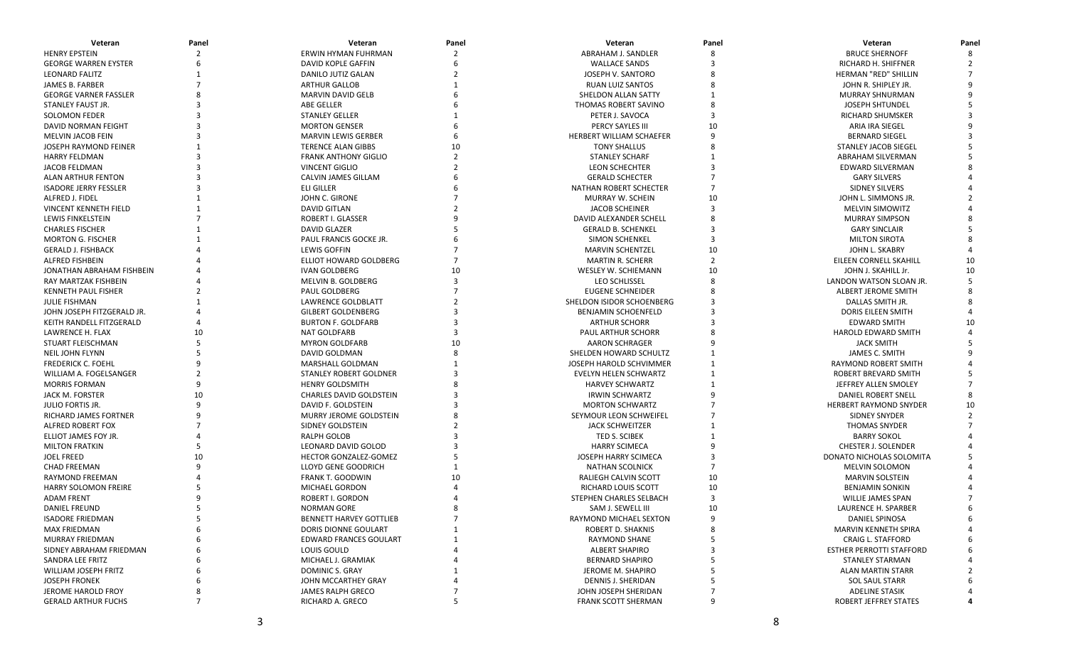| <b>BRUCE SHERNOFF</b><br><b>HENRY EPSTEIN</b><br>ERWIN HYMAN FUHRMAN<br>ABRAHAM J. SANDLER<br>8<br><b>GEORGE WARREN EYSTER</b><br>DAVID KOPLE GAFFIN<br><b>WALLACE SANDS</b><br>RICHARD H. SHIFFNER<br><b>LEONARD FALITZ</b><br>DANILO JUTIZ GALAN<br>JOSEPH V. SANTORO<br>HERMAN "RED" SHILLIN<br><b>JAMES B. FARBER</b><br><b>ARTHUR GALLOB</b><br><b>RUAN LUIZ SANTOS</b><br>JOHN R. SHIPLEY JR.<br><b>GEORGE VARNER FASSLER</b><br><b>MARVIN DAVID GELB</b><br>SHELDON ALLAN SATTY<br>MURRAY SHNURMAN<br>STANLEY FAUST JR.<br><b>ABE GELLER</b><br>THOMAS ROBERT SAVINO<br><b>JOSEPH SHTUNDEL</b><br><b>SOLOMON FEDER</b><br><b>STANLEY GELLER</b><br>PETER J. SAVOCA<br>RICHARD SHUMSKER<br>10<br>DAVID NORMAN FEIGHT<br><b>MORTON GENSER</b><br>PERCY SAYLES III<br>ARIA IRA SIEGEL<br>MELVIN JACOB FEIN<br><b>MARVIN LEWIS GERBER</b><br>HERBERT WILLIAM SCHAEFER<br><b>BERNARD SIEGEL</b><br>JOSEPH RAYMOND FEINER<br><b>TERENCE ALAN GIBBS</b><br><b>TONY SHALLUS</b><br><b>STANLEY JACOB SIEGEL</b><br><b>HARRY FELDMAN</b><br><b>FRANK ANTHONY GIGLIO</b><br><b>STANLEY SCHARF</b><br>ABRAHAM SILVERMAN<br><b>JACOB FELDMAN</b><br><b>VINCENT GIGLIO</b><br>LEON SCHECHTER<br>EDWARD SILVERMAN<br><b>CALVIN JAMES GILLAM</b><br><b>GERALD SCHECTER</b><br>ALAN ARTHUR FENTON<br><b>GARY SILVERS</b><br><b>ISADORE JERRY FESSLER</b><br><b>ELI GILLER</b><br>NATHAN ROBERT SCHECTER<br><b>SIDNEY SILVERS</b><br>ALFRED J. FIDEL<br>JOHN C. GIRONE<br>10<br>MURRAY W. SCHEIN<br>JOHN L. SIMMONS JR.<br><b>VINCENT KENNETH FIELD</b><br><b>DAVID GITLAN</b><br>$\overline{3}$<br><b>JACOB SCHEINER</b><br><b>MELVIN SIMOWITZ</b><br>LEWIS FINKELSTEIN<br>ROBERT I. GLASSER<br>DAVID ALEXANDER SCHELL<br><b>MURRAY SIMPSON</b><br><b>CHARLES FISCHER</b><br><b>DAVID GLAZER</b><br><b>GERALD B. SCHENKEL</b><br><b>GARY SINCLAIR</b><br>PAUL FRANCIS GOCKE JR.<br><b>MORTON G. FISCHER</b><br><b>SIMON SCHENKEL</b><br>3<br><b>MILTON SIROTA</b><br>10<br><b>LEWIS GOFFIN</b><br><b>GERALD J. FISHBACK</b><br><b>MARVIN SCHENTZEL</b><br>JOHN L. SKABRY<br>ALFRED FISHBEIN<br><b>ELLIOT HOWARD GOLDBERG</b><br><b>MARTIN R. SCHERR</b><br>10<br>EILEEN CORNELL SKAHILL<br><b>IVAN GOLDBERG</b><br>WESLEY W. SCHIEMANN<br>10<br>JOHN J. SKAHILL Jr.<br>10<br>JONATHAN ABRAHAM FISHBEIN<br>10<br>MELVIN B. GOLDBERG<br>LEO SCHLISSEL<br>RAY MARTZAK FISHBEIN<br>LANDON WATSON SLOAN JR.<br><b>KENNETH PAUL FISHER</b><br><b>PAUL GOLDBERG</b><br><b>EUGENE SCHNEIDER</b><br><b>ALBERT JEROME SMITH</b><br><b>JULIE FISHMAN</b><br>SHELDON ISIDOR SCHOENBERG<br>DALLAS SMITH JR.<br><b>LAWRENCE GOLDBLATT</b><br>JOHN JOSEPH FITZGERALD JR.<br><b>GILBERT GOLDENBERG</b><br><b>BENJAMIN SCHOENFELD</b><br><b>DORIS EILEEN SMITH</b><br>KEITH RANDELL FITZGERALD<br><b>BURTON F. GOLDFARB</b><br><b>EDWARD SMITH</b><br>10<br><b>ARTHUR SCHORR</b><br><b>NAT GOLDFARB</b><br>LAWRENCE H. FLAX<br>10<br><b>PAUL ARTHUR SCHORR</b><br>HAROLD EDWARD SMITH<br>STUART FLEISCHMAN<br><b>MYRON GOLDFARB</b><br>10<br><b>AARON SCHRAGER</b><br><b>JACK SMITH</b><br><b>NEIL JOHN FLYNN</b><br>SHELDEN HOWARD SCHULTZ<br>DAVID GOLDMAN<br>JAMES C. SMITH<br><b>FREDERICK C. FOEHL</b><br><b>MARSHALL GOLDMAN</b><br>JOSEPH HAROLD SCHVIMMER<br><b>RAYMOND ROBERT SMITH</b><br>WILLIAM A. FOGELSANGER<br>STANLEY ROBERT GOLDNER<br>EVELYN HELEN SCHWARTZ<br>ROBERT BREVARD SMITH<br><b>MORRIS FORMAN</b><br><b>HENRY GOLDSMITH</b><br><b>HARVEY SCHWARTZ</b><br>JEFFREY ALLEN SMOLEY<br><b>CHARLES DAVID GOLDSTEIN</b><br>JACK M. FORSTER<br>10<br><b>IRWIN SCHWARTZ</b><br>DANIEL ROBERT SNELL<br><b>JULIO FORTIS JR.</b><br>DAVID F. GOLDSTEIN<br><b>MORTON SCHWARTZ</b><br><b>HERBERT RAYMOND SNYDER</b><br>10<br>RICHARD JAMES FORTNER<br>MURRY JEROME GOLDSTEIN<br>SEYMOUR LEON SCHWEIFEL<br>SIDNEY SNYDER<br>$\mathcal{P}$<br>ALFRED ROBERT FOX<br>SIDNEY GOLDSTEIN<br><b>JACK SCHWEITZER</b><br><b>THOMAS SNYDER</b><br>RALPH GOLOB<br>ELLIOT JAMES FOY JR.<br>TED S. SCIBEK<br><b>BARRY SOKOL</b><br><b>MILTON FRATKIN</b><br>LEONARD DAVID GOLOD<br><b>HARRY SCIMECA</b><br>CHESTER J. SOLENDER<br><b>JOEL FREED</b><br>10<br>HECTOR GONZALEZ-GOMEZ<br>JOSEPH HARRY SCIMECA<br>DONATO NICHOLAS SOLOMITA<br><b>CHAD FREEMAN</b><br><b>LLOYD GENE GOODRICH</b><br><b>NATHAN SCOLNICK</b><br><b>MELVIN SOLOMON</b><br><b>RAYMOND FREEMAN</b><br>FRANK T. GOODWIN<br>10<br>RALIEGH CALVIN SCOTT<br><b>MARVIN SOLSTEIN</b><br><b>HARRY SOLOMON FREIRE</b><br>RICHARD LOUIS SCOTT<br>10<br>MICHAEL GORDON<br><b>BENJAMIN SONKIN</b><br><b>ADAM FRENT</b><br>ROBERT I. GORDON<br>$\overline{3}$<br>STEPHEN CHARLES SELBACH<br>WILLIE JAMES SPAN<br>DANIEL FREUND<br>NORMAN GORE<br>SAM J. SEWELL III<br>10<br>LAURENCE H. SPARBER<br>$\overline{7}$<br><b>ISADORE FRIEDMAN</b><br>5<br><b>BENNETT HARVEY GOTTLIEB</b><br><b>RAYMOND MICHAEL SEXTON</b><br>9<br><b>DANIEL SPINOSA</b><br>6<br><b>MAX FRIEDMAN</b><br>DORIS DIONNE GOULART<br>ROBERT D. SHAKNIS<br>8<br>MARVIN KENNETH SPIRA<br>MURRAY FRIEDMAN<br>EDWARD FRANCES GOULART<br>RAYMOND SHANE<br><b>CRAIG L. STAFFORD</b><br>LOUIS GOULD<br><b>ALBERT SHAPIRO</b><br><b>ESTHER PERROTTI STAFFORD</b><br>SIDNEY ABRAHAM FRIEDMAN<br>SANDRA LEE FRITZ<br>MICHAEL J. GRAMIAK<br><b>BERNARD SHAPIRO</b><br>STANLEY STARMAN<br>WILLIAM JOSEPH FRITZ<br>DOMINIC S. GRAY<br>JEROME M. SHAPIRO<br><b>ALAN MARTIN STARR</b><br><b>JOSEPH FRONEK</b><br>-5<br>JOHN MCCARTHEY GRAY<br>DENNIS J. SHERIDAN<br><b>SOL SAUL STARR</b><br>JEROME HAROLD FROY<br><b>JAMES RALPH GRECO</b><br>JOHN JOSEPH SHERIDAN<br><b>ADELINE STASIK</b><br>8<br>5<br>9<br><b>GERALD ARTHUR FUCHS</b><br>7<br>RICHARD A. GRECO<br><b>FRANK SCOTT SHERMAN</b><br><b>ROBERT JEFFREY STATES</b> | Veteran | Panel | Veteran | Panel | Veteran | Panel | Veteran | Panel |
|----------------------------------------------------------------------------------------------------------------------------------------------------------------------------------------------------------------------------------------------------------------------------------------------------------------------------------------------------------------------------------------------------------------------------------------------------------------------------------------------------------------------------------------------------------------------------------------------------------------------------------------------------------------------------------------------------------------------------------------------------------------------------------------------------------------------------------------------------------------------------------------------------------------------------------------------------------------------------------------------------------------------------------------------------------------------------------------------------------------------------------------------------------------------------------------------------------------------------------------------------------------------------------------------------------------------------------------------------------------------------------------------------------------------------------------------------------------------------------------------------------------------------------------------------------------------------------------------------------------------------------------------------------------------------------------------------------------------------------------------------------------------------------------------------------------------------------------------------------------------------------------------------------------------------------------------------------------------------------------------------------------------------------------------------------------------------------------------------------------------------------------------------------------------------------------------------------------------------------------------------------------------------------------------------------------------------------------------------------------------------------------------------------------------------------------------------------------------------------------------------------------------------------------------------------------------------------------------------------------------------------------------------------------------------------------------------------------------------------------------------------------------------------------------------------------------------------------------------------------------------------------------------------------------------------------------------------------------------------------------------------------------------------------------------------------------------------------------------------------------------------------------------------------------------------------------------------------------------------------------------------------------------------------------------------------------------------------------------------------------------------------------------------------------------------------------------------------------------------------------------------------------------------------------------------------------------------------------------------------------------------------------------------------------------------------------------------------------------------------------------------------------------------------------------------------------------------------------------------------------------------------------------------------------------------------------------------------------------------------------------------------------------------------------------------------------------------------------------------------------------------------------------------------------------------------------------------------------------------------------------------------------------------------------------------------------------------------------------------------------------------------------------------------------------------------------------------------------------------------------------------------------------------------------------------------------------------------------------------------------------------------------------------------------------------------------------------------------------------------------------------------------------------------------------------------------------------------------------------------------------------------------------------------------------------------------------------------------------------------------------------------------------------------------------------------------------------------------------------------------------------------------------------------------------------------------------------------------------------------------------------------------------------------------------------------------------------------------------------------------------------------------------------------------------------------------------------------------------------------------------------------------------------------------------------------------------------------------------------------------------------------------------------------------------------------------------------------------|---------|-------|---------|-------|---------|-------|---------|-------|
|                                                                                                                                                                                                                                                                                                                                                                                                                                                                                                                                                                                                                                                                                                                                                                                                                                                                                                                                                                                                                                                                                                                                                                                                                                                                                                                                                                                                                                                                                                                                                                                                                                                                                                                                                                                                                                                                                                                                                                                                                                                                                                                                                                                                                                                                                                                                                                                                                                                                                                                                                                                                                                                                                                                                                                                                                                                                                                                                                                                                                                                                                                                                                                                                                                                                                                                                                                                                                                                                                                                                                                                                                                                                                                                                                                                                                                                                                                                                                                                                                                                                                                                                                                                                                                                                                                                                                                                                                                                                                                                                                                                                                                                                                                                                                                                                                                                                                                                                                                                                                                                                                                                                                                                                                                                                                                                                                                                                                                                                                                                                                                                                                                                                                                                      |         |       |         |       |         |       |         |       |
|                                                                                                                                                                                                                                                                                                                                                                                                                                                                                                                                                                                                                                                                                                                                                                                                                                                                                                                                                                                                                                                                                                                                                                                                                                                                                                                                                                                                                                                                                                                                                                                                                                                                                                                                                                                                                                                                                                                                                                                                                                                                                                                                                                                                                                                                                                                                                                                                                                                                                                                                                                                                                                                                                                                                                                                                                                                                                                                                                                                                                                                                                                                                                                                                                                                                                                                                                                                                                                                                                                                                                                                                                                                                                                                                                                                                                                                                                                                                                                                                                                                                                                                                                                                                                                                                                                                                                                                                                                                                                                                                                                                                                                                                                                                                                                                                                                                                                                                                                                                                                                                                                                                                                                                                                                                                                                                                                                                                                                                                                                                                                                                                                                                                                                                      |         |       |         |       |         |       |         |       |
|                                                                                                                                                                                                                                                                                                                                                                                                                                                                                                                                                                                                                                                                                                                                                                                                                                                                                                                                                                                                                                                                                                                                                                                                                                                                                                                                                                                                                                                                                                                                                                                                                                                                                                                                                                                                                                                                                                                                                                                                                                                                                                                                                                                                                                                                                                                                                                                                                                                                                                                                                                                                                                                                                                                                                                                                                                                                                                                                                                                                                                                                                                                                                                                                                                                                                                                                                                                                                                                                                                                                                                                                                                                                                                                                                                                                                                                                                                                                                                                                                                                                                                                                                                                                                                                                                                                                                                                                                                                                                                                                                                                                                                                                                                                                                                                                                                                                                                                                                                                                                                                                                                                                                                                                                                                                                                                                                                                                                                                                                                                                                                                                                                                                                                                      |         |       |         |       |         |       |         |       |
|                                                                                                                                                                                                                                                                                                                                                                                                                                                                                                                                                                                                                                                                                                                                                                                                                                                                                                                                                                                                                                                                                                                                                                                                                                                                                                                                                                                                                                                                                                                                                                                                                                                                                                                                                                                                                                                                                                                                                                                                                                                                                                                                                                                                                                                                                                                                                                                                                                                                                                                                                                                                                                                                                                                                                                                                                                                                                                                                                                                                                                                                                                                                                                                                                                                                                                                                                                                                                                                                                                                                                                                                                                                                                                                                                                                                                                                                                                                                                                                                                                                                                                                                                                                                                                                                                                                                                                                                                                                                                                                                                                                                                                                                                                                                                                                                                                                                                                                                                                                                                                                                                                                                                                                                                                                                                                                                                                                                                                                                                                                                                                                                                                                                                                                      |         |       |         |       |         |       |         |       |
|                                                                                                                                                                                                                                                                                                                                                                                                                                                                                                                                                                                                                                                                                                                                                                                                                                                                                                                                                                                                                                                                                                                                                                                                                                                                                                                                                                                                                                                                                                                                                                                                                                                                                                                                                                                                                                                                                                                                                                                                                                                                                                                                                                                                                                                                                                                                                                                                                                                                                                                                                                                                                                                                                                                                                                                                                                                                                                                                                                                                                                                                                                                                                                                                                                                                                                                                                                                                                                                                                                                                                                                                                                                                                                                                                                                                                                                                                                                                                                                                                                                                                                                                                                                                                                                                                                                                                                                                                                                                                                                                                                                                                                                                                                                                                                                                                                                                                                                                                                                                                                                                                                                                                                                                                                                                                                                                                                                                                                                                                                                                                                                                                                                                                                                      |         |       |         |       |         |       |         |       |
|                                                                                                                                                                                                                                                                                                                                                                                                                                                                                                                                                                                                                                                                                                                                                                                                                                                                                                                                                                                                                                                                                                                                                                                                                                                                                                                                                                                                                                                                                                                                                                                                                                                                                                                                                                                                                                                                                                                                                                                                                                                                                                                                                                                                                                                                                                                                                                                                                                                                                                                                                                                                                                                                                                                                                                                                                                                                                                                                                                                                                                                                                                                                                                                                                                                                                                                                                                                                                                                                                                                                                                                                                                                                                                                                                                                                                                                                                                                                                                                                                                                                                                                                                                                                                                                                                                                                                                                                                                                                                                                                                                                                                                                                                                                                                                                                                                                                                                                                                                                                                                                                                                                                                                                                                                                                                                                                                                                                                                                                                                                                                                                                                                                                                                                      |         |       |         |       |         |       |         |       |
|                                                                                                                                                                                                                                                                                                                                                                                                                                                                                                                                                                                                                                                                                                                                                                                                                                                                                                                                                                                                                                                                                                                                                                                                                                                                                                                                                                                                                                                                                                                                                                                                                                                                                                                                                                                                                                                                                                                                                                                                                                                                                                                                                                                                                                                                                                                                                                                                                                                                                                                                                                                                                                                                                                                                                                                                                                                                                                                                                                                                                                                                                                                                                                                                                                                                                                                                                                                                                                                                                                                                                                                                                                                                                                                                                                                                                                                                                                                                                                                                                                                                                                                                                                                                                                                                                                                                                                                                                                                                                                                                                                                                                                                                                                                                                                                                                                                                                                                                                                                                                                                                                                                                                                                                                                                                                                                                                                                                                                                                                                                                                                                                                                                                                                                      |         |       |         |       |         |       |         |       |
|                                                                                                                                                                                                                                                                                                                                                                                                                                                                                                                                                                                                                                                                                                                                                                                                                                                                                                                                                                                                                                                                                                                                                                                                                                                                                                                                                                                                                                                                                                                                                                                                                                                                                                                                                                                                                                                                                                                                                                                                                                                                                                                                                                                                                                                                                                                                                                                                                                                                                                                                                                                                                                                                                                                                                                                                                                                                                                                                                                                                                                                                                                                                                                                                                                                                                                                                                                                                                                                                                                                                                                                                                                                                                                                                                                                                                                                                                                                                                                                                                                                                                                                                                                                                                                                                                                                                                                                                                                                                                                                                                                                                                                                                                                                                                                                                                                                                                                                                                                                                                                                                                                                                                                                                                                                                                                                                                                                                                                                                                                                                                                                                                                                                                                                      |         |       |         |       |         |       |         |       |
|                                                                                                                                                                                                                                                                                                                                                                                                                                                                                                                                                                                                                                                                                                                                                                                                                                                                                                                                                                                                                                                                                                                                                                                                                                                                                                                                                                                                                                                                                                                                                                                                                                                                                                                                                                                                                                                                                                                                                                                                                                                                                                                                                                                                                                                                                                                                                                                                                                                                                                                                                                                                                                                                                                                                                                                                                                                                                                                                                                                                                                                                                                                                                                                                                                                                                                                                                                                                                                                                                                                                                                                                                                                                                                                                                                                                                                                                                                                                                                                                                                                                                                                                                                                                                                                                                                                                                                                                                                                                                                                                                                                                                                                                                                                                                                                                                                                                                                                                                                                                                                                                                                                                                                                                                                                                                                                                                                                                                                                                                                                                                                                                                                                                                                                      |         |       |         |       |         |       |         |       |
|                                                                                                                                                                                                                                                                                                                                                                                                                                                                                                                                                                                                                                                                                                                                                                                                                                                                                                                                                                                                                                                                                                                                                                                                                                                                                                                                                                                                                                                                                                                                                                                                                                                                                                                                                                                                                                                                                                                                                                                                                                                                                                                                                                                                                                                                                                                                                                                                                                                                                                                                                                                                                                                                                                                                                                                                                                                                                                                                                                                                                                                                                                                                                                                                                                                                                                                                                                                                                                                                                                                                                                                                                                                                                                                                                                                                                                                                                                                                                                                                                                                                                                                                                                                                                                                                                                                                                                                                                                                                                                                                                                                                                                                                                                                                                                                                                                                                                                                                                                                                                                                                                                                                                                                                                                                                                                                                                                                                                                                                                                                                                                                                                                                                                                                      |         |       |         |       |         |       |         |       |
|                                                                                                                                                                                                                                                                                                                                                                                                                                                                                                                                                                                                                                                                                                                                                                                                                                                                                                                                                                                                                                                                                                                                                                                                                                                                                                                                                                                                                                                                                                                                                                                                                                                                                                                                                                                                                                                                                                                                                                                                                                                                                                                                                                                                                                                                                                                                                                                                                                                                                                                                                                                                                                                                                                                                                                                                                                                                                                                                                                                                                                                                                                                                                                                                                                                                                                                                                                                                                                                                                                                                                                                                                                                                                                                                                                                                                                                                                                                                                                                                                                                                                                                                                                                                                                                                                                                                                                                                                                                                                                                                                                                                                                                                                                                                                                                                                                                                                                                                                                                                                                                                                                                                                                                                                                                                                                                                                                                                                                                                                                                                                                                                                                                                                                                      |         |       |         |       |         |       |         |       |
|                                                                                                                                                                                                                                                                                                                                                                                                                                                                                                                                                                                                                                                                                                                                                                                                                                                                                                                                                                                                                                                                                                                                                                                                                                                                                                                                                                                                                                                                                                                                                                                                                                                                                                                                                                                                                                                                                                                                                                                                                                                                                                                                                                                                                                                                                                                                                                                                                                                                                                                                                                                                                                                                                                                                                                                                                                                                                                                                                                                                                                                                                                                                                                                                                                                                                                                                                                                                                                                                                                                                                                                                                                                                                                                                                                                                                                                                                                                                                                                                                                                                                                                                                                                                                                                                                                                                                                                                                                                                                                                                                                                                                                                                                                                                                                                                                                                                                                                                                                                                                                                                                                                                                                                                                                                                                                                                                                                                                                                                                                                                                                                                                                                                                                                      |         |       |         |       |         |       |         |       |
|                                                                                                                                                                                                                                                                                                                                                                                                                                                                                                                                                                                                                                                                                                                                                                                                                                                                                                                                                                                                                                                                                                                                                                                                                                                                                                                                                                                                                                                                                                                                                                                                                                                                                                                                                                                                                                                                                                                                                                                                                                                                                                                                                                                                                                                                                                                                                                                                                                                                                                                                                                                                                                                                                                                                                                                                                                                                                                                                                                                                                                                                                                                                                                                                                                                                                                                                                                                                                                                                                                                                                                                                                                                                                                                                                                                                                                                                                                                                                                                                                                                                                                                                                                                                                                                                                                                                                                                                                                                                                                                                                                                                                                                                                                                                                                                                                                                                                                                                                                                                                                                                                                                                                                                                                                                                                                                                                                                                                                                                                                                                                                                                                                                                                                                      |         |       |         |       |         |       |         |       |
|                                                                                                                                                                                                                                                                                                                                                                                                                                                                                                                                                                                                                                                                                                                                                                                                                                                                                                                                                                                                                                                                                                                                                                                                                                                                                                                                                                                                                                                                                                                                                                                                                                                                                                                                                                                                                                                                                                                                                                                                                                                                                                                                                                                                                                                                                                                                                                                                                                                                                                                                                                                                                                                                                                                                                                                                                                                                                                                                                                                                                                                                                                                                                                                                                                                                                                                                                                                                                                                                                                                                                                                                                                                                                                                                                                                                                                                                                                                                                                                                                                                                                                                                                                                                                                                                                                                                                                                                                                                                                                                                                                                                                                                                                                                                                                                                                                                                                                                                                                                                                                                                                                                                                                                                                                                                                                                                                                                                                                                                                                                                                                                                                                                                                                                      |         |       |         |       |         |       |         |       |
|                                                                                                                                                                                                                                                                                                                                                                                                                                                                                                                                                                                                                                                                                                                                                                                                                                                                                                                                                                                                                                                                                                                                                                                                                                                                                                                                                                                                                                                                                                                                                                                                                                                                                                                                                                                                                                                                                                                                                                                                                                                                                                                                                                                                                                                                                                                                                                                                                                                                                                                                                                                                                                                                                                                                                                                                                                                                                                                                                                                                                                                                                                                                                                                                                                                                                                                                                                                                                                                                                                                                                                                                                                                                                                                                                                                                                                                                                                                                                                                                                                                                                                                                                                                                                                                                                                                                                                                                                                                                                                                                                                                                                                                                                                                                                                                                                                                                                                                                                                                                                                                                                                                                                                                                                                                                                                                                                                                                                                                                                                                                                                                                                                                                                                                      |         |       |         |       |         |       |         |       |
|                                                                                                                                                                                                                                                                                                                                                                                                                                                                                                                                                                                                                                                                                                                                                                                                                                                                                                                                                                                                                                                                                                                                                                                                                                                                                                                                                                                                                                                                                                                                                                                                                                                                                                                                                                                                                                                                                                                                                                                                                                                                                                                                                                                                                                                                                                                                                                                                                                                                                                                                                                                                                                                                                                                                                                                                                                                                                                                                                                                                                                                                                                                                                                                                                                                                                                                                                                                                                                                                                                                                                                                                                                                                                                                                                                                                                                                                                                                                                                                                                                                                                                                                                                                                                                                                                                                                                                                                                                                                                                                                                                                                                                                                                                                                                                                                                                                                                                                                                                                                                                                                                                                                                                                                                                                                                                                                                                                                                                                                                                                                                                                                                                                                                                                      |         |       |         |       |         |       |         |       |
|                                                                                                                                                                                                                                                                                                                                                                                                                                                                                                                                                                                                                                                                                                                                                                                                                                                                                                                                                                                                                                                                                                                                                                                                                                                                                                                                                                                                                                                                                                                                                                                                                                                                                                                                                                                                                                                                                                                                                                                                                                                                                                                                                                                                                                                                                                                                                                                                                                                                                                                                                                                                                                                                                                                                                                                                                                                                                                                                                                                                                                                                                                                                                                                                                                                                                                                                                                                                                                                                                                                                                                                                                                                                                                                                                                                                                                                                                                                                                                                                                                                                                                                                                                                                                                                                                                                                                                                                                                                                                                                                                                                                                                                                                                                                                                                                                                                                                                                                                                                                                                                                                                                                                                                                                                                                                                                                                                                                                                                                                                                                                                                                                                                                                                                      |         |       |         |       |         |       |         |       |
|                                                                                                                                                                                                                                                                                                                                                                                                                                                                                                                                                                                                                                                                                                                                                                                                                                                                                                                                                                                                                                                                                                                                                                                                                                                                                                                                                                                                                                                                                                                                                                                                                                                                                                                                                                                                                                                                                                                                                                                                                                                                                                                                                                                                                                                                                                                                                                                                                                                                                                                                                                                                                                                                                                                                                                                                                                                                                                                                                                                                                                                                                                                                                                                                                                                                                                                                                                                                                                                                                                                                                                                                                                                                                                                                                                                                                                                                                                                                                                                                                                                                                                                                                                                                                                                                                                                                                                                                                                                                                                                                                                                                                                                                                                                                                                                                                                                                                                                                                                                                                                                                                                                                                                                                                                                                                                                                                                                                                                                                                                                                                                                                                                                                                                                      |         |       |         |       |         |       |         |       |
|                                                                                                                                                                                                                                                                                                                                                                                                                                                                                                                                                                                                                                                                                                                                                                                                                                                                                                                                                                                                                                                                                                                                                                                                                                                                                                                                                                                                                                                                                                                                                                                                                                                                                                                                                                                                                                                                                                                                                                                                                                                                                                                                                                                                                                                                                                                                                                                                                                                                                                                                                                                                                                                                                                                                                                                                                                                                                                                                                                                                                                                                                                                                                                                                                                                                                                                                                                                                                                                                                                                                                                                                                                                                                                                                                                                                                                                                                                                                                                                                                                                                                                                                                                                                                                                                                                                                                                                                                                                                                                                                                                                                                                                                                                                                                                                                                                                                                                                                                                                                                                                                                                                                                                                                                                                                                                                                                                                                                                                                                                                                                                                                                                                                                                                      |         |       |         |       |         |       |         |       |
|                                                                                                                                                                                                                                                                                                                                                                                                                                                                                                                                                                                                                                                                                                                                                                                                                                                                                                                                                                                                                                                                                                                                                                                                                                                                                                                                                                                                                                                                                                                                                                                                                                                                                                                                                                                                                                                                                                                                                                                                                                                                                                                                                                                                                                                                                                                                                                                                                                                                                                                                                                                                                                                                                                                                                                                                                                                                                                                                                                                                                                                                                                                                                                                                                                                                                                                                                                                                                                                                                                                                                                                                                                                                                                                                                                                                                                                                                                                                                                                                                                                                                                                                                                                                                                                                                                                                                                                                                                                                                                                                                                                                                                                                                                                                                                                                                                                                                                                                                                                                                                                                                                                                                                                                                                                                                                                                                                                                                                                                                                                                                                                                                                                                                                                      |         |       |         |       |         |       |         |       |
|                                                                                                                                                                                                                                                                                                                                                                                                                                                                                                                                                                                                                                                                                                                                                                                                                                                                                                                                                                                                                                                                                                                                                                                                                                                                                                                                                                                                                                                                                                                                                                                                                                                                                                                                                                                                                                                                                                                                                                                                                                                                                                                                                                                                                                                                                                                                                                                                                                                                                                                                                                                                                                                                                                                                                                                                                                                                                                                                                                                                                                                                                                                                                                                                                                                                                                                                                                                                                                                                                                                                                                                                                                                                                                                                                                                                                                                                                                                                                                                                                                                                                                                                                                                                                                                                                                                                                                                                                                                                                                                                                                                                                                                                                                                                                                                                                                                                                                                                                                                                                                                                                                                                                                                                                                                                                                                                                                                                                                                                                                                                                                                                                                                                                                                      |         |       |         |       |         |       |         |       |
|                                                                                                                                                                                                                                                                                                                                                                                                                                                                                                                                                                                                                                                                                                                                                                                                                                                                                                                                                                                                                                                                                                                                                                                                                                                                                                                                                                                                                                                                                                                                                                                                                                                                                                                                                                                                                                                                                                                                                                                                                                                                                                                                                                                                                                                                                                                                                                                                                                                                                                                                                                                                                                                                                                                                                                                                                                                                                                                                                                                                                                                                                                                                                                                                                                                                                                                                                                                                                                                                                                                                                                                                                                                                                                                                                                                                                                                                                                                                                                                                                                                                                                                                                                                                                                                                                                                                                                                                                                                                                                                                                                                                                                                                                                                                                                                                                                                                                                                                                                                                                                                                                                                                                                                                                                                                                                                                                                                                                                                                                                                                                                                                                                                                                                                      |         |       |         |       |         |       |         |       |
|                                                                                                                                                                                                                                                                                                                                                                                                                                                                                                                                                                                                                                                                                                                                                                                                                                                                                                                                                                                                                                                                                                                                                                                                                                                                                                                                                                                                                                                                                                                                                                                                                                                                                                                                                                                                                                                                                                                                                                                                                                                                                                                                                                                                                                                                                                                                                                                                                                                                                                                                                                                                                                                                                                                                                                                                                                                                                                                                                                                                                                                                                                                                                                                                                                                                                                                                                                                                                                                                                                                                                                                                                                                                                                                                                                                                                                                                                                                                                                                                                                                                                                                                                                                                                                                                                                                                                                                                                                                                                                                                                                                                                                                                                                                                                                                                                                                                                                                                                                                                                                                                                                                                                                                                                                                                                                                                                                                                                                                                                                                                                                                                                                                                                                                      |         |       |         |       |         |       |         |       |
|                                                                                                                                                                                                                                                                                                                                                                                                                                                                                                                                                                                                                                                                                                                                                                                                                                                                                                                                                                                                                                                                                                                                                                                                                                                                                                                                                                                                                                                                                                                                                                                                                                                                                                                                                                                                                                                                                                                                                                                                                                                                                                                                                                                                                                                                                                                                                                                                                                                                                                                                                                                                                                                                                                                                                                                                                                                                                                                                                                                                                                                                                                                                                                                                                                                                                                                                                                                                                                                                                                                                                                                                                                                                                                                                                                                                                                                                                                                                                                                                                                                                                                                                                                                                                                                                                                                                                                                                                                                                                                                                                                                                                                                                                                                                                                                                                                                                                                                                                                                                                                                                                                                                                                                                                                                                                                                                                                                                                                                                                                                                                                                                                                                                                                                      |         |       |         |       |         |       |         |       |
|                                                                                                                                                                                                                                                                                                                                                                                                                                                                                                                                                                                                                                                                                                                                                                                                                                                                                                                                                                                                                                                                                                                                                                                                                                                                                                                                                                                                                                                                                                                                                                                                                                                                                                                                                                                                                                                                                                                                                                                                                                                                                                                                                                                                                                                                                                                                                                                                                                                                                                                                                                                                                                                                                                                                                                                                                                                                                                                                                                                                                                                                                                                                                                                                                                                                                                                                                                                                                                                                                                                                                                                                                                                                                                                                                                                                                                                                                                                                                                                                                                                                                                                                                                                                                                                                                                                                                                                                                                                                                                                                                                                                                                                                                                                                                                                                                                                                                                                                                                                                                                                                                                                                                                                                                                                                                                                                                                                                                                                                                                                                                                                                                                                                                                                      |         |       |         |       |         |       |         |       |
|                                                                                                                                                                                                                                                                                                                                                                                                                                                                                                                                                                                                                                                                                                                                                                                                                                                                                                                                                                                                                                                                                                                                                                                                                                                                                                                                                                                                                                                                                                                                                                                                                                                                                                                                                                                                                                                                                                                                                                                                                                                                                                                                                                                                                                                                                                                                                                                                                                                                                                                                                                                                                                                                                                                                                                                                                                                                                                                                                                                                                                                                                                                                                                                                                                                                                                                                                                                                                                                                                                                                                                                                                                                                                                                                                                                                                                                                                                                                                                                                                                                                                                                                                                                                                                                                                                                                                                                                                                                                                                                                                                                                                                                                                                                                                                                                                                                                                                                                                                                                                                                                                                                                                                                                                                                                                                                                                                                                                                                                                                                                                                                                                                                                                                                      |         |       |         |       |         |       |         |       |
|                                                                                                                                                                                                                                                                                                                                                                                                                                                                                                                                                                                                                                                                                                                                                                                                                                                                                                                                                                                                                                                                                                                                                                                                                                                                                                                                                                                                                                                                                                                                                                                                                                                                                                                                                                                                                                                                                                                                                                                                                                                                                                                                                                                                                                                                                                                                                                                                                                                                                                                                                                                                                                                                                                                                                                                                                                                                                                                                                                                                                                                                                                                                                                                                                                                                                                                                                                                                                                                                                                                                                                                                                                                                                                                                                                                                                                                                                                                                                                                                                                                                                                                                                                                                                                                                                                                                                                                                                                                                                                                                                                                                                                                                                                                                                                                                                                                                                                                                                                                                                                                                                                                                                                                                                                                                                                                                                                                                                                                                                                                                                                                                                                                                                                                      |         |       |         |       |         |       |         |       |
|                                                                                                                                                                                                                                                                                                                                                                                                                                                                                                                                                                                                                                                                                                                                                                                                                                                                                                                                                                                                                                                                                                                                                                                                                                                                                                                                                                                                                                                                                                                                                                                                                                                                                                                                                                                                                                                                                                                                                                                                                                                                                                                                                                                                                                                                                                                                                                                                                                                                                                                                                                                                                                                                                                                                                                                                                                                                                                                                                                                                                                                                                                                                                                                                                                                                                                                                                                                                                                                                                                                                                                                                                                                                                                                                                                                                                                                                                                                                                                                                                                                                                                                                                                                                                                                                                                                                                                                                                                                                                                                                                                                                                                                                                                                                                                                                                                                                                                                                                                                                                                                                                                                                                                                                                                                                                                                                                                                                                                                                                                                                                                                                                                                                                                                      |         |       |         |       |         |       |         |       |
|                                                                                                                                                                                                                                                                                                                                                                                                                                                                                                                                                                                                                                                                                                                                                                                                                                                                                                                                                                                                                                                                                                                                                                                                                                                                                                                                                                                                                                                                                                                                                                                                                                                                                                                                                                                                                                                                                                                                                                                                                                                                                                                                                                                                                                                                                                                                                                                                                                                                                                                                                                                                                                                                                                                                                                                                                                                                                                                                                                                                                                                                                                                                                                                                                                                                                                                                                                                                                                                                                                                                                                                                                                                                                                                                                                                                                                                                                                                                                                                                                                                                                                                                                                                                                                                                                                                                                                                                                                                                                                                                                                                                                                                                                                                                                                                                                                                                                                                                                                                                                                                                                                                                                                                                                                                                                                                                                                                                                                                                                                                                                                                                                                                                                                                      |         |       |         |       |         |       |         |       |
|                                                                                                                                                                                                                                                                                                                                                                                                                                                                                                                                                                                                                                                                                                                                                                                                                                                                                                                                                                                                                                                                                                                                                                                                                                                                                                                                                                                                                                                                                                                                                                                                                                                                                                                                                                                                                                                                                                                                                                                                                                                                                                                                                                                                                                                                                                                                                                                                                                                                                                                                                                                                                                                                                                                                                                                                                                                                                                                                                                                                                                                                                                                                                                                                                                                                                                                                                                                                                                                                                                                                                                                                                                                                                                                                                                                                                                                                                                                                                                                                                                                                                                                                                                                                                                                                                                                                                                                                                                                                                                                                                                                                                                                                                                                                                                                                                                                                                                                                                                                                                                                                                                                                                                                                                                                                                                                                                                                                                                                                                                                                                                                                                                                                                                                      |         |       |         |       |         |       |         |       |
|                                                                                                                                                                                                                                                                                                                                                                                                                                                                                                                                                                                                                                                                                                                                                                                                                                                                                                                                                                                                                                                                                                                                                                                                                                                                                                                                                                                                                                                                                                                                                                                                                                                                                                                                                                                                                                                                                                                                                                                                                                                                                                                                                                                                                                                                                                                                                                                                                                                                                                                                                                                                                                                                                                                                                                                                                                                                                                                                                                                                                                                                                                                                                                                                                                                                                                                                                                                                                                                                                                                                                                                                                                                                                                                                                                                                                                                                                                                                                                                                                                                                                                                                                                                                                                                                                                                                                                                                                                                                                                                                                                                                                                                                                                                                                                                                                                                                                                                                                                                                                                                                                                                                                                                                                                                                                                                                                                                                                                                                                                                                                                                                                                                                                                                      |         |       |         |       |         |       |         |       |
|                                                                                                                                                                                                                                                                                                                                                                                                                                                                                                                                                                                                                                                                                                                                                                                                                                                                                                                                                                                                                                                                                                                                                                                                                                                                                                                                                                                                                                                                                                                                                                                                                                                                                                                                                                                                                                                                                                                                                                                                                                                                                                                                                                                                                                                                                                                                                                                                                                                                                                                                                                                                                                                                                                                                                                                                                                                                                                                                                                                                                                                                                                                                                                                                                                                                                                                                                                                                                                                                                                                                                                                                                                                                                                                                                                                                                                                                                                                                                                                                                                                                                                                                                                                                                                                                                                                                                                                                                                                                                                                                                                                                                                                                                                                                                                                                                                                                                                                                                                                                                                                                                                                                                                                                                                                                                                                                                                                                                                                                                                                                                                                                                                                                                                                      |         |       |         |       |         |       |         |       |
|                                                                                                                                                                                                                                                                                                                                                                                                                                                                                                                                                                                                                                                                                                                                                                                                                                                                                                                                                                                                                                                                                                                                                                                                                                                                                                                                                                                                                                                                                                                                                                                                                                                                                                                                                                                                                                                                                                                                                                                                                                                                                                                                                                                                                                                                                                                                                                                                                                                                                                                                                                                                                                                                                                                                                                                                                                                                                                                                                                                                                                                                                                                                                                                                                                                                                                                                                                                                                                                                                                                                                                                                                                                                                                                                                                                                                                                                                                                                                                                                                                                                                                                                                                                                                                                                                                                                                                                                                                                                                                                                                                                                                                                                                                                                                                                                                                                                                                                                                                                                                                                                                                                                                                                                                                                                                                                                                                                                                                                                                                                                                                                                                                                                                                                      |         |       |         |       |         |       |         |       |
|                                                                                                                                                                                                                                                                                                                                                                                                                                                                                                                                                                                                                                                                                                                                                                                                                                                                                                                                                                                                                                                                                                                                                                                                                                                                                                                                                                                                                                                                                                                                                                                                                                                                                                                                                                                                                                                                                                                                                                                                                                                                                                                                                                                                                                                                                                                                                                                                                                                                                                                                                                                                                                                                                                                                                                                                                                                                                                                                                                                                                                                                                                                                                                                                                                                                                                                                                                                                                                                                                                                                                                                                                                                                                                                                                                                                                                                                                                                                                                                                                                                                                                                                                                                                                                                                                                                                                                                                                                                                                                                                                                                                                                                                                                                                                                                                                                                                                                                                                                                                                                                                                                                                                                                                                                                                                                                                                                                                                                                                                                                                                                                                                                                                                                                      |         |       |         |       |         |       |         |       |
|                                                                                                                                                                                                                                                                                                                                                                                                                                                                                                                                                                                                                                                                                                                                                                                                                                                                                                                                                                                                                                                                                                                                                                                                                                                                                                                                                                                                                                                                                                                                                                                                                                                                                                                                                                                                                                                                                                                                                                                                                                                                                                                                                                                                                                                                                                                                                                                                                                                                                                                                                                                                                                                                                                                                                                                                                                                                                                                                                                                                                                                                                                                                                                                                                                                                                                                                                                                                                                                                                                                                                                                                                                                                                                                                                                                                                                                                                                                                                                                                                                                                                                                                                                                                                                                                                                                                                                                                                                                                                                                                                                                                                                                                                                                                                                                                                                                                                                                                                                                                                                                                                                                                                                                                                                                                                                                                                                                                                                                                                                                                                                                                                                                                                                                      |         |       |         |       |         |       |         |       |
|                                                                                                                                                                                                                                                                                                                                                                                                                                                                                                                                                                                                                                                                                                                                                                                                                                                                                                                                                                                                                                                                                                                                                                                                                                                                                                                                                                                                                                                                                                                                                                                                                                                                                                                                                                                                                                                                                                                                                                                                                                                                                                                                                                                                                                                                                                                                                                                                                                                                                                                                                                                                                                                                                                                                                                                                                                                                                                                                                                                                                                                                                                                                                                                                                                                                                                                                                                                                                                                                                                                                                                                                                                                                                                                                                                                                                                                                                                                                                                                                                                                                                                                                                                                                                                                                                                                                                                                                                                                                                                                                                                                                                                                                                                                                                                                                                                                                                                                                                                                                                                                                                                                                                                                                                                                                                                                                                                                                                                                                                                                                                                                                                                                                                                                      |         |       |         |       |         |       |         |       |
|                                                                                                                                                                                                                                                                                                                                                                                                                                                                                                                                                                                                                                                                                                                                                                                                                                                                                                                                                                                                                                                                                                                                                                                                                                                                                                                                                                                                                                                                                                                                                                                                                                                                                                                                                                                                                                                                                                                                                                                                                                                                                                                                                                                                                                                                                                                                                                                                                                                                                                                                                                                                                                                                                                                                                                                                                                                                                                                                                                                                                                                                                                                                                                                                                                                                                                                                                                                                                                                                                                                                                                                                                                                                                                                                                                                                                                                                                                                                                                                                                                                                                                                                                                                                                                                                                                                                                                                                                                                                                                                                                                                                                                                                                                                                                                                                                                                                                                                                                                                                                                                                                                                                                                                                                                                                                                                                                                                                                                                                                                                                                                                                                                                                                                                      |         |       |         |       |         |       |         |       |
|                                                                                                                                                                                                                                                                                                                                                                                                                                                                                                                                                                                                                                                                                                                                                                                                                                                                                                                                                                                                                                                                                                                                                                                                                                                                                                                                                                                                                                                                                                                                                                                                                                                                                                                                                                                                                                                                                                                                                                                                                                                                                                                                                                                                                                                                                                                                                                                                                                                                                                                                                                                                                                                                                                                                                                                                                                                                                                                                                                                                                                                                                                                                                                                                                                                                                                                                                                                                                                                                                                                                                                                                                                                                                                                                                                                                                                                                                                                                                                                                                                                                                                                                                                                                                                                                                                                                                                                                                                                                                                                                                                                                                                                                                                                                                                                                                                                                                                                                                                                                                                                                                                                                                                                                                                                                                                                                                                                                                                                                                                                                                                                                                                                                                                                      |         |       |         |       |         |       |         |       |
|                                                                                                                                                                                                                                                                                                                                                                                                                                                                                                                                                                                                                                                                                                                                                                                                                                                                                                                                                                                                                                                                                                                                                                                                                                                                                                                                                                                                                                                                                                                                                                                                                                                                                                                                                                                                                                                                                                                                                                                                                                                                                                                                                                                                                                                                                                                                                                                                                                                                                                                                                                                                                                                                                                                                                                                                                                                                                                                                                                                                                                                                                                                                                                                                                                                                                                                                                                                                                                                                                                                                                                                                                                                                                                                                                                                                                                                                                                                                                                                                                                                                                                                                                                                                                                                                                                                                                                                                                                                                                                                                                                                                                                                                                                                                                                                                                                                                                                                                                                                                                                                                                                                                                                                                                                                                                                                                                                                                                                                                                                                                                                                                                                                                                                                      |         |       |         |       |         |       |         |       |
|                                                                                                                                                                                                                                                                                                                                                                                                                                                                                                                                                                                                                                                                                                                                                                                                                                                                                                                                                                                                                                                                                                                                                                                                                                                                                                                                                                                                                                                                                                                                                                                                                                                                                                                                                                                                                                                                                                                                                                                                                                                                                                                                                                                                                                                                                                                                                                                                                                                                                                                                                                                                                                                                                                                                                                                                                                                                                                                                                                                                                                                                                                                                                                                                                                                                                                                                                                                                                                                                                                                                                                                                                                                                                                                                                                                                                                                                                                                                                                                                                                                                                                                                                                                                                                                                                                                                                                                                                                                                                                                                                                                                                                                                                                                                                                                                                                                                                                                                                                                                                                                                                                                                                                                                                                                                                                                                                                                                                                                                                                                                                                                                                                                                                                                      |         |       |         |       |         |       |         |       |
|                                                                                                                                                                                                                                                                                                                                                                                                                                                                                                                                                                                                                                                                                                                                                                                                                                                                                                                                                                                                                                                                                                                                                                                                                                                                                                                                                                                                                                                                                                                                                                                                                                                                                                                                                                                                                                                                                                                                                                                                                                                                                                                                                                                                                                                                                                                                                                                                                                                                                                                                                                                                                                                                                                                                                                                                                                                                                                                                                                                                                                                                                                                                                                                                                                                                                                                                                                                                                                                                                                                                                                                                                                                                                                                                                                                                                                                                                                                                                                                                                                                                                                                                                                                                                                                                                                                                                                                                                                                                                                                                                                                                                                                                                                                                                                                                                                                                                                                                                                                                                                                                                                                                                                                                                                                                                                                                                                                                                                                                                                                                                                                                                                                                                                                      |         |       |         |       |         |       |         |       |
|                                                                                                                                                                                                                                                                                                                                                                                                                                                                                                                                                                                                                                                                                                                                                                                                                                                                                                                                                                                                                                                                                                                                                                                                                                                                                                                                                                                                                                                                                                                                                                                                                                                                                                                                                                                                                                                                                                                                                                                                                                                                                                                                                                                                                                                                                                                                                                                                                                                                                                                                                                                                                                                                                                                                                                                                                                                                                                                                                                                                                                                                                                                                                                                                                                                                                                                                                                                                                                                                                                                                                                                                                                                                                                                                                                                                                                                                                                                                                                                                                                                                                                                                                                                                                                                                                                                                                                                                                                                                                                                                                                                                                                                                                                                                                                                                                                                                                                                                                                                                                                                                                                                                                                                                                                                                                                                                                                                                                                                                                                                                                                                                                                                                                                                      |         |       |         |       |         |       |         |       |
|                                                                                                                                                                                                                                                                                                                                                                                                                                                                                                                                                                                                                                                                                                                                                                                                                                                                                                                                                                                                                                                                                                                                                                                                                                                                                                                                                                                                                                                                                                                                                                                                                                                                                                                                                                                                                                                                                                                                                                                                                                                                                                                                                                                                                                                                                                                                                                                                                                                                                                                                                                                                                                                                                                                                                                                                                                                                                                                                                                                                                                                                                                                                                                                                                                                                                                                                                                                                                                                                                                                                                                                                                                                                                                                                                                                                                                                                                                                                                                                                                                                                                                                                                                                                                                                                                                                                                                                                                                                                                                                                                                                                                                                                                                                                                                                                                                                                                                                                                                                                                                                                                                                                                                                                                                                                                                                                                                                                                                                                                                                                                                                                                                                                                                                      |         |       |         |       |         |       |         |       |
|                                                                                                                                                                                                                                                                                                                                                                                                                                                                                                                                                                                                                                                                                                                                                                                                                                                                                                                                                                                                                                                                                                                                                                                                                                                                                                                                                                                                                                                                                                                                                                                                                                                                                                                                                                                                                                                                                                                                                                                                                                                                                                                                                                                                                                                                                                                                                                                                                                                                                                                                                                                                                                                                                                                                                                                                                                                                                                                                                                                                                                                                                                                                                                                                                                                                                                                                                                                                                                                                                                                                                                                                                                                                                                                                                                                                                                                                                                                                                                                                                                                                                                                                                                                                                                                                                                                                                                                                                                                                                                                                                                                                                                                                                                                                                                                                                                                                                                                                                                                                                                                                                                                                                                                                                                                                                                                                                                                                                                                                                                                                                                                                                                                                                                                      |         |       |         |       |         |       |         |       |
|                                                                                                                                                                                                                                                                                                                                                                                                                                                                                                                                                                                                                                                                                                                                                                                                                                                                                                                                                                                                                                                                                                                                                                                                                                                                                                                                                                                                                                                                                                                                                                                                                                                                                                                                                                                                                                                                                                                                                                                                                                                                                                                                                                                                                                                                                                                                                                                                                                                                                                                                                                                                                                                                                                                                                                                                                                                                                                                                                                                                                                                                                                                                                                                                                                                                                                                                                                                                                                                                                                                                                                                                                                                                                                                                                                                                                                                                                                                                                                                                                                                                                                                                                                                                                                                                                                                                                                                                                                                                                                                                                                                                                                                                                                                                                                                                                                                                                                                                                                                                                                                                                                                                                                                                                                                                                                                                                                                                                                                                                                                                                                                                                                                                                                                      |         |       |         |       |         |       |         |       |
|                                                                                                                                                                                                                                                                                                                                                                                                                                                                                                                                                                                                                                                                                                                                                                                                                                                                                                                                                                                                                                                                                                                                                                                                                                                                                                                                                                                                                                                                                                                                                                                                                                                                                                                                                                                                                                                                                                                                                                                                                                                                                                                                                                                                                                                                                                                                                                                                                                                                                                                                                                                                                                                                                                                                                                                                                                                                                                                                                                                                                                                                                                                                                                                                                                                                                                                                                                                                                                                                                                                                                                                                                                                                                                                                                                                                                                                                                                                                                                                                                                                                                                                                                                                                                                                                                                                                                                                                                                                                                                                                                                                                                                                                                                                                                                                                                                                                                                                                                                                                                                                                                                                                                                                                                                                                                                                                                                                                                                                                                                                                                                                                                                                                                                                      |         |       |         |       |         |       |         |       |
|                                                                                                                                                                                                                                                                                                                                                                                                                                                                                                                                                                                                                                                                                                                                                                                                                                                                                                                                                                                                                                                                                                                                                                                                                                                                                                                                                                                                                                                                                                                                                                                                                                                                                                                                                                                                                                                                                                                                                                                                                                                                                                                                                                                                                                                                                                                                                                                                                                                                                                                                                                                                                                                                                                                                                                                                                                                                                                                                                                                                                                                                                                                                                                                                                                                                                                                                                                                                                                                                                                                                                                                                                                                                                                                                                                                                                                                                                                                                                                                                                                                                                                                                                                                                                                                                                                                                                                                                                                                                                                                                                                                                                                                                                                                                                                                                                                                                                                                                                                                                                                                                                                                                                                                                                                                                                                                                                                                                                                                                                                                                                                                                                                                                                                                      |         |       |         |       |         |       |         |       |
|                                                                                                                                                                                                                                                                                                                                                                                                                                                                                                                                                                                                                                                                                                                                                                                                                                                                                                                                                                                                                                                                                                                                                                                                                                                                                                                                                                                                                                                                                                                                                                                                                                                                                                                                                                                                                                                                                                                                                                                                                                                                                                                                                                                                                                                                                                                                                                                                                                                                                                                                                                                                                                                                                                                                                                                                                                                                                                                                                                                                                                                                                                                                                                                                                                                                                                                                                                                                                                                                                                                                                                                                                                                                                                                                                                                                                                                                                                                                                                                                                                                                                                                                                                                                                                                                                                                                                                                                                                                                                                                                                                                                                                                                                                                                                                                                                                                                                                                                                                                                                                                                                                                                                                                                                                                                                                                                                                                                                                                                                                                                                                                                                                                                                                                      |         |       |         |       |         |       |         |       |
|                                                                                                                                                                                                                                                                                                                                                                                                                                                                                                                                                                                                                                                                                                                                                                                                                                                                                                                                                                                                                                                                                                                                                                                                                                                                                                                                                                                                                                                                                                                                                                                                                                                                                                                                                                                                                                                                                                                                                                                                                                                                                                                                                                                                                                                                                                                                                                                                                                                                                                                                                                                                                                                                                                                                                                                                                                                                                                                                                                                                                                                                                                                                                                                                                                                                                                                                                                                                                                                                                                                                                                                                                                                                                                                                                                                                                                                                                                                                                                                                                                                                                                                                                                                                                                                                                                                                                                                                                                                                                                                                                                                                                                                                                                                                                                                                                                                                                                                                                                                                                                                                                                                                                                                                                                                                                                                                                                                                                                                                                                                                                                                                                                                                                                                      |         |       |         |       |         |       |         |       |
|                                                                                                                                                                                                                                                                                                                                                                                                                                                                                                                                                                                                                                                                                                                                                                                                                                                                                                                                                                                                                                                                                                                                                                                                                                                                                                                                                                                                                                                                                                                                                                                                                                                                                                                                                                                                                                                                                                                                                                                                                                                                                                                                                                                                                                                                                                                                                                                                                                                                                                                                                                                                                                                                                                                                                                                                                                                                                                                                                                                                                                                                                                                                                                                                                                                                                                                                                                                                                                                                                                                                                                                                                                                                                                                                                                                                                                                                                                                                                                                                                                                                                                                                                                                                                                                                                                                                                                                                                                                                                                                                                                                                                                                                                                                                                                                                                                                                                                                                                                                                                                                                                                                                                                                                                                                                                                                                                                                                                                                                                                                                                                                                                                                                                                                      |         |       |         |       |         |       |         |       |
|                                                                                                                                                                                                                                                                                                                                                                                                                                                                                                                                                                                                                                                                                                                                                                                                                                                                                                                                                                                                                                                                                                                                                                                                                                                                                                                                                                                                                                                                                                                                                                                                                                                                                                                                                                                                                                                                                                                                                                                                                                                                                                                                                                                                                                                                                                                                                                                                                                                                                                                                                                                                                                                                                                                                                                                                                                                                                                                                                                                                                                                                                                                                                                                                                                                                                                                                                                                                                                                                                                                                                                                                                                                                                                                                                                                                                                                                                                                                                                                                                                                                                                                                                                                                                                                                                                                                                                                                                                                                                                                                                                                                                                                                                                                                                                                                                                                                                                                                                                                                                                                                                                                                                                                                                                                                                                                                                                                                                                                                                                                                                                                                                                                                                                                      |         |       |         |       |         |       |         |       |
|                                                                                                                                                                                                                                                                                                                                                                                                                                                                                                                                                                                                                                                                                                                                                                                                                                                                                                                                                                                                                                                                                                                                                                                                                                                                                                                                                                                                                                                                                                                                                                                                                                                                                                                                                                                                                                                                                                                                                                                                                                                                                                                                                                                                                                                                                                                                                                                                                                                                                                                                                                                                                                                                                                                                                                                                                                                                                                                                                                                                                                                                                                                                                                                                                                                                                                                                                                                                                                                                                                                                                                                                                                                                                                                                                                                                                                                                                                                                                                                                                                                                                                                                                                                                                                                                                                                                                                                                                                                                                                                                                                                                                                                                                                                                                                                                                                                                                                                                                                                                                                                                                                                                                                                                                                                                                                                                                                                                                                                                                                                                                                                                                                                                                                                      |         |       |         |       |         |       |         |       |
|                                                                                                                                                                                                                                                                                                                                                                                                                                                                                                                                                                                                                                                                                                                                                                                                                                                                                                                                                                                                                                                                                                                                                                                                                                                                                                                                                                                                                                                                                                                                                                                                                                                                                                                                                                                                                                                                                                                                                                                                                                                                                                                                                                                                                                                                                                                                                                                                                                                                                                                                                                                                                                                                                                                                                                                                                                                                                                                                                                                                                                                                                                                                                                                                                                                                                                                                                                                                                                                                                                                                                                                                                                                                                                                                                                                                                                                                                                                                                                                                                                                                                                                                                                                                                                                                                                                                                                                                                                                                                                                                                                                                                                                                                                                                                                                                                                                                                                                                                                                                                                                                                                                                                                                                                                                                                                                                                                                                                                                                                                                                                                                                                                                                                                                      |         |       |         |       |         |       |         |       |
|                                                                                                                                                                                                                                                                                                                                                                                                                                                                                                                                                                                                                                                                                                                                                                                                                                                                                                                                                                                                                                                                                                                                                                                                                                                                                                                                                                                                                                                                                                                                                                                                                                                                                                                                                                                                                                                                                                                                                                                                                                                                                                                                                                                                                                                                                                                                                                                                                                                                                                                                                                                                                                                                                                                                                                                                                                                                                                                                                                                                                                                                                                                                                                                                                                                                                                                                                                                                                                                                                                                                                                                                                                                                                                                                                                                                                                                                                                                                                                                                                                                                                                                                                                                                                                                                                                                                                                                                                                                                                                                                                                                                                                                                                                                                                                                                                                                                                                                                                                                                                                                                                                                                                                                                                                                                                                                                                                                                                                                                                                                                                                                                                                                                                                                      |         |       |         |       |         |       |         |       |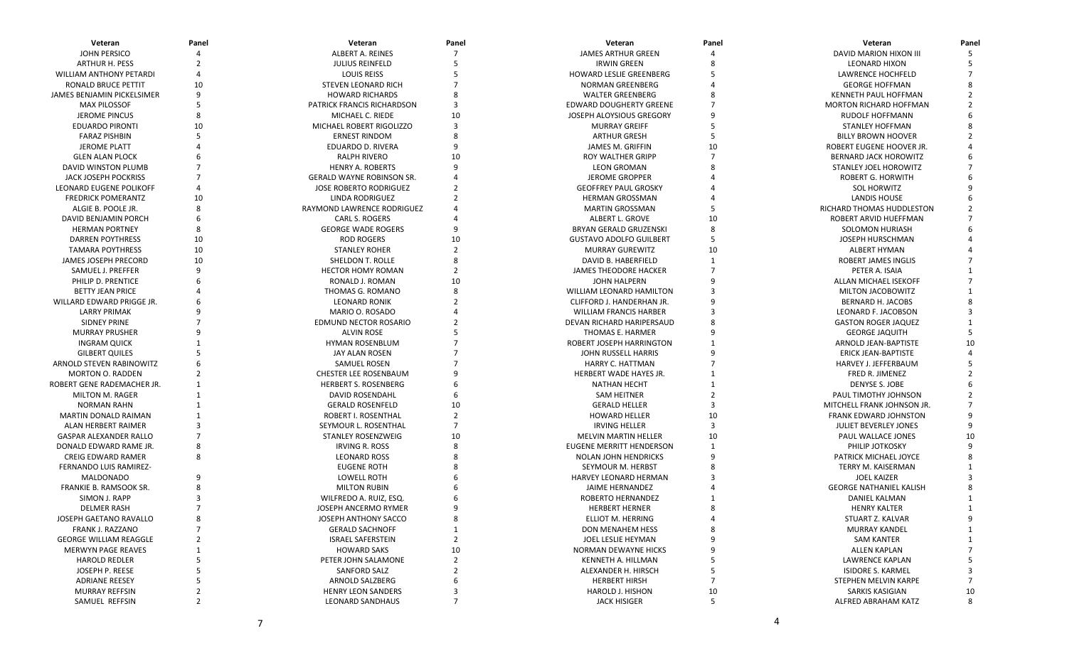| Veteran                        | Panel          | Veteran                                      | Panel          | Veteran                         | Panel        | Veteran                        | Panel   |
|--------------------------------|----------------|----------------------------------------------|----------------|---------------------------------|--------------|--------------------------------|---------|
| <b>JOHN PERSICO</b>            |                | ALBERT A. REINES                             |                | <b>JAMES ARTHUR GREEN</b>       |              | DAVID MARION HIXON III         |         |
| <b>ARTHUR H. PESS</b>          |                | <b>JULIUS REINFELD</b>                       |                | <b>IRWIN GREEN</b>              |              | <b>LEONARD HIXON</b>           |         |
| <b>WILLIAM ANTHONY PETARDI</b> |                | <b>LOUIS REISS</b>                           |                | HOWARD LESLIE GREENBERG         |              | LAWRENCE HOCHFELD              |         |
| RONALD BRUCE PETTIT            | 10             | <b>STEVEN LEONARD RICH</b>                   |                | <b>NORMAN GREENBERG</b>         |              | <b>GEORGE HOFFMAN</b>          |         |
| JAMES BENJAMIN PICKELSIMER     | 9              | <b>HOWARD RICHARDS</b>                       |                | <b>WALTER GREENBERG</b>         |              | KENNETH PAUL HOFFMAN           |         |
| <b>MAX PILOSSOF</b>            |                | PATRICK FRANCIS RICHARDSON                   |                | <b>EDWARD DOUGHERTY GREENE</b>  |              | <b>MORTON RICHARD HOFFMAN</b>  |         |
| <b>JEROME PINCUS</b>           | 8              | MICHAEL C. RIEDE                             | 10             | JOSEPH ALOYSIOUS GREGORY        |              | RUDOLF HOFFMANN                |         |
| <b>EDUARDO PIRONTI</b>         | 10             | MICHAEL ROBERT RIGOLIZZO                     | 3              | <b>MURRAY GREIFF</b>            |              | <b>STANLEY HOFFMAN</b>         |         |
| <b>FARAZ PISHBIN</b>           |                | <b>ERNEST RINDOM</b>                         |                | <b>ARTHUR GRESH</b>             | 5            | <b>BILLY BROWN HOOVER</b>      |         |
| <b>JEROME PLATT</b>            |                | EDUARDO D. RIVERA                            |                | <b>JAMES M. GRIFFIN</b>         | 10           | ROBERT EUGENE HOOVER JR.       |         |
| <b>GLEN ALAN PLOCK</b>         |                | RALPH RIVERO                                 | 10             | ROY WALTHER GRIPP               |              | <b>BERNARD JACK HOROWITZ</b>   |         |
| DAVID WINSTON PLUMB            |                | <b>HENRY A. ROBERTS</b>                      |                | <b>LEON GROMAN</b>              |              | STANLEY JOEL HOROWITZ          |         |
| JACK JOSEPH POCKRISS           |                | <b>GERALD WAYNE ROBINSON SR.</b>             |                | <b>JEROME GROPPER</b>           |              | ROBERT G. HORWITH              |         |
| <b>LEONARD EUGENE POLIKOFF</b> |                | <b>JOSE ROBERTO RODRIGUEZ</b>                |                | <b>GEOFFREY PAUL GROSKY</b>     |              | <b>SOL HORWITZ</b>             |         |
| <b>FREDRICK POMERANTZ</b>      | 10             | LINDA RODRIGUEZ                              |                | <b>HERMAN GROSSMAN</b>          |              | LANDIS HOUSE                   |         |
| ALGIE B. POOLE JR.             | 8              | RAYMOND LAWRENCE RODRIGUEZ                   |                | <b>MARTIN GROSSMAN</b>          |              | RICHARD THOMAS HUDDLESTON      |         |
| DAVID BENJAMIN PORCH           |                | CARL S. ROGERS                               |                | ALBERT L. GROVE                 | 10           | ROBERT ARVID HUEFFMAN          |         |
| <b>HERMAN PORTNEY</b>          |                | <b>GEORGE WADE ROGERS</b>                    |                | <b>BRYAN GERALD GRUZENSKI</b>   | 8            | <b>SOLOMON HURIASH</b>         |         |
| <b>DARREN POYTHRESS</b>        | 10             | <b>ROD ROGERS</b>                            | 10             | <b>GUSTAVO ADOLFO GUILBERT</b>  | 5            | JOSEPH HURSCHMAN               |         |
| <b>TAMARA POYTHRESS</b>        | 10             | <b>STANLEY ROHER</b>                         | $\mathcal{P}$  | <b>MURRAY GUREWITZ</b>          | 10           | <b>ALBERT HYMAN</b>            |         |
| JAMES JOSEPH PRECORD           | 10             | SHELDON T. ROLLE                             |                | DAVID B. HABERFIELD             | $\mathbf{1}$ | ROBERT JAMES INGLIS            |         |
| SAMUEL J. PREFFER              | 9              | <b>HECTOR HOMY ROMAN</b>                     |                | JAMES THEODORE HACKER           |              | PETER A. ISAIA                 |         |
| PHILIP D. PRENTICE             |                | RONALD J. ROMAN                              | 10             | <b>JOHN HALPERN</b>             |              | ALLAN MICHAEL ISEKOFF          |         |
| <b>BETTY JEAN PRICE</b>        |                | THOMAS G. ROMANO                             |                | <b>WILLIAM LEONARD HAMILTON</b> |              | MILTON JACOBOWITZ              |         |
| WILLARD EDWARD PRIGGE JR.      |                | <b>LEONARD RONIK</b>                         |                | CLIFFORD J. HANDERHAN JR.       |              | BERNARD H. JACOBS              |         |
| LARRY PRIMAK                   |                | MARIO O. ROSADO                              |                | <b>WILLIAM FRANCIS HARBER</b>   |              | <b>LEONARD F. JACOBSON</b>     |         |
| SIDNEY PRINE                   |                | <b>EDMUND NECTOR ROSARIO</b>                 |                | DEVAN RICHARD HARIPERSAUD       |              | <b>GASTON ROGER JAQUEZ</b>     |         |
| <b>MURRAY PRUSHER</b>          |                | <b>ALVIN ROSE</b>                            |                | THOMAS E. HARMER                |              | <b>GEORGE JAQUITH</b>          |         |
| <b>INGRAM QUICK</b>            |                | <b>HYMAN ROSENBLUM</b>                       |                | ROBERT JOSEPH HARRINGTON        |              | ARNOLD JEAN-BAPTISTE           | 10      |
| <b>GILBERT QUILES</b>          |                | JAY ALAN ROSEN                               |                | JOHN RUSSELL HARRIS             |              | ERICK JEAN-BAPTISTE            |         |
| ARNOLD STEVEN RABINOWITZ       |                |                                              |                | HARRY C. HATTMAN                |              | HARVEY J. JEFFERBAUM           |         |
| <b>MORTON O. RADDEN</b>        |                | SAMUEL ROSEN<br><b>CHESTER LEE ROSENBAUM</b> |                | HERBERT WADE HAYES JR.          |              | FRED R. JIMENEZ                |         |
| ROBERT GENE RADEMACHER JR.     |                | <b>HERBERT S. ROSENBERG</b>                  |                |                                 |              | DENYSE S. JOBE                 |         |
|                                |                |                                              |                | <b>NATHAN HECHT</b>             |              |                                |         |
| MILTON M. RAGER                |                | DAVID ROSENDAHL                              |                | SAM HEITNER                     |              | PAUL TIMOTHY JOHNSON           |         |
| NORMAN RAHN                    |                | <b>GERALD ROSENFELD</b>                      | 10             | <b>GERALD HELLER</b>            | 10           | MITCHELL FRANK JOHNSON JR.     |         |
| MARTIN DONALD RAIMAN           |                | ROBERT I. ROSENTHAL                          |                | <b>HOWARD HELLER</b>            | 3            | FRANK EDWARD JOHNSTON          |         |
| ALAN HERBERT RAIMER            |                | SEYMOUR L. ROSENTHAL                         |                | <b>IRVING HELLER</b>            |              | JULIET BEVERLEY JONES          |         |
| <b>GASPAR ALEXANDER RALLO</b>  |                | STANLEY ROSENZWEIG                           | 10             | <b>MELVIN MARTIN HELLER</b>     | 10           | PAUL WALLACE JONES             | 10<br>q |
| DONALD EDWARD RAME JR.         |                | IRVING R. ROSS                               |                | <b>EUGENE MERRITT HENDERSON</b> | $\mathbf{1}$ | PHILIP JOTKOSKY                |         |
| <b>CREIG EDWARD RAMER</b>      |                | <b>LEONARD ROSS</b>                          |                | NOLAN JOHN HENDRICKS            |              | PATRICK MICHAEL JOYCE          |         |
| FERNANDO LUIS RAMIREZ-         |                | <b>EUGENE ROTH</b>                           |                | SEYMOUR M. HERBST               |              | TERRY M. KAISERMAN             |         |
| <b>MALDONADO</b>               |                | LOWELL ROTH                                  |                | HARVEY LEONARD HERMAN           |              | <b>JOEL KAIZER</b>             |         |
| FRANKIE B. RAMSOOK SR.         |                | <b>MILTON RUBIN</b>                          |                | JAIME HERNANDEZ                 |              | <b>GEORGE NATHANIEL KALISH</b> |         |
| SIMON J. RAPP                  |                | WILFREDO A. RUIZ, ESQ.                       |                | ROBERTO HERNANDEZ               |              | DANIEL KALMAN                  |         |
| <b>DELMER RASH</b>             |                | JOSEPH ANCERMO RYMER                         | 9              | <b>HERBERT HERNER</b>           | 8            | <b>HENRY KALTER</b>            |         |
| JOSEPH GAETANO RAVALLO         | 8              | JOSEPH ANTHONY SACCO                         | 8              | ELLIOT M. HERRING               |              | STUART Z. KALVAR               | 9       |
| FRANK J. RAZZANO               |                | <b>GERALD SACHNOFF</b>                       | 1              | DON MENAHEM HESS                |              | MURRAY KANDEL                  |         |
| <b>GEORGE WILLIAM REAGGLE</b>  | 2              | <b>ISRAEL SAFERSTEIN</b>                     | $\overline{2}$ | JOEL LESLIE HEYMAN              |              | SAM KANTER                     |         |
| <b>MERWYN PAGE REAVES</b>      |                | <b>HOWARD SAKS</b>                           | 10             | NORMAN DEWAYNE HICKS            |              | ALLEN KAPLAN                   | 7       |
| <b>HAROLD REDLER</b>           |                | PETER JOHN SALAMONE                          | $\overline{2}$ | KENNETH A. HILLMAN              |              | LAWRENCE KAPLAN                | 5       |
| JOSEPH P. REESE                |                | SANFORD SALZ                                 | $\overline{2}$ | ALEXANDER H. HIRSCH             |              | <b>ISIDORE S. KARMEL</b>       | 3       |
| <b>ADRIANE REESEY</b>          |                | ARNOLD SALZBERG                              |                | <b>HERBERT HIRSH</b>            |              | STEPHEN MELVIN KARPE           |         |
| <b>MURRAY REFFSIN</b>          | 2              | <b>HENRY LEON SANDERS</b>                    | 3              | HAROLD J. HISHON                | 10           | SARKIS KASIGIAN                | 10      |
| SAMUEL REFFSIN                 | $\overline{2}$ | <b>LEONARD SANDHAUS</b>                      | $\overline{7}$ | <b>JACK HISIGER</b>             | 5            | ALFRED ABRAHAM KATZ            | 8       |